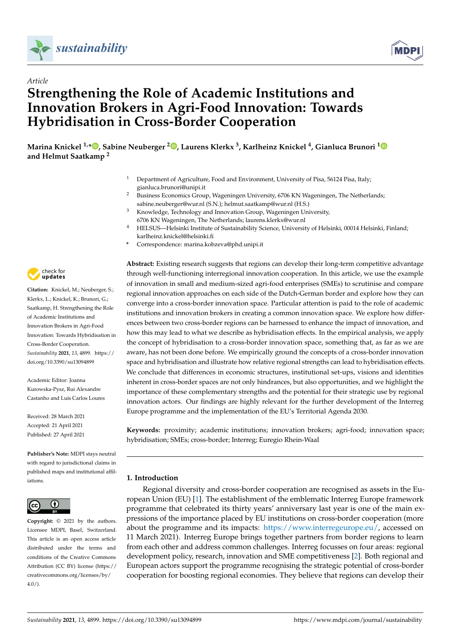



# *Article* **Strengthening the Role of Academic Institutions and Innovation Brokers in Agri-Food Innovation: Towards Hybridisation in Cross-Border Cooperation**

**Marina Knickel 1,[\\*](https://orcid.org/0000-0003-1496-7864) , Sabine Neuberger <sup>2</sup> [,](https://orcid.org/0000-0002-5627-6917) Laurens Klerkx <sup>3</sup> , Karlheinz Knickel <sup>4</sup> , Gianluca Brunori [1](https://orcid.org/0000-0003-2905-9738) and Helmut Saatkamp <sup>2</sup>**

- <sup>1</sup> Department of Agriculture, Food and Environment, University of Pisa, 56124 Pisa, Italy; gianluca.brunori@unipi.it
- <sup>2</sup> Business Economics Group, Wageningen University, 6706 KN Wageningen, The Netherlands; sabine.neuberger@wur.nl (S.N.); helmut.saatkamp@wur.nl (H.S.)
- <sup>3</sup> Knowledge, Technology and Innovation Group, Wageningen University, 6706 KN Wageningen, The Netherlands; laurens.klerkx@wur.nl
- <sup>4</sup> HELSUS—Helsinki Institute of Sustainability Science, University of Helsinki, 00014 Helsinki, Finland; karlheinz.knickel@helsinki.fi
- **\*** Correspondence: marina.kobzeva@phd.unipi.it

**Abstract:** Existing research suggests that regions can develop their long-term competitive advantage through well-functioning interregional innovation cooperation. In this article, we use the example of innovation in small and medium-sized agri-food enterprises (SMEs) to scrutinise and compare regional innovation approaches on each side of the Dutch-German border and explore how they can converge into a cross-border innovation space. Particular attention is paid to the role of academic institutions and innovation brokers in creating a common innovation space. We explore how differences between two cross-border regions can be harnessed to enhance the impact of innovation, and how this may lead to what we describe as hybridisation effects. In the empirical analysis, we apply the concept of hybridisation to a cross-border innovation space, something that, as far as we are aware, has not been done before. We empirically ground the concepts of a cross-border innovation space and hybridisation and illustrate how relative regional strengths can lead to hybridisation effects. We conclude that differences in economic structures, institutional set-ups, visions and identities inherent in cross-border spaces are not only hindrances, but also opportunities, and we highlight the importance of these complementary strengths and the potential for their strategic use by regional innovation actors. Our findings are highly relevant for the further development of the Interreg Europe programme and the implementation of the EU's Territorial Agenda 2030.

**Keywords:** proximity; academic institutions; innovation brokers; agri-food; innovation space; hybridisation; SMEs; cross-border; Interreg; Euregio Rhein-Waal

# **1. Introduction**

Regional diversity and cross-border cooperation are recognised as assets in the European Union (EU) [\[1\]](#page-18-0). The establishment of the emblematic Interreg Europe framework programme that celebrated its thirty years' anniversary last year is one of the main expressions of the importance placed by EU institutions on cross-border cooperation (more about the programme and its impacts: [https://www.interregeurope.eu/,](https://www.interregeurope.eu/) accessed on 11 March 2021). Interreg Europe brings together partners from border regions to learn from each other and address common challenges. Interreg focusses on four areas: regional development policy, research, innovation and SME competitiveness [\[2\]](#page-18-1). Both regional and European actors support the programme recognising the strategic potential of cross-border cooperation for boosting regional economies. They believe that regions can develop their



**Citation:** Knickel, M.; Neuberger, S.; Klerkx, L.; Knickel, K.; Brunori, G.; Saatkamp, H. Strengthening the Role of Academic Institutions and Innovation Brokers in Agri-Food Innovation: Towards Hybridisation in Cross-Border Cooperation. *Sustainability* **2021**, *13*, 4899. [https://](https://doi.org/10.3390/su13094899) [doi.org/10.3390/su13094899](https://doi.org/10.3390/su13094899)

Academic Editor: Joanna Kurowska-Pysz, Rui Alexandre Castanho and Luís Carlos Loures

Received: 28 March 2021 Accepted: 21 April 2021 Published: 27 April 2021

**Publisher's Note:** MDPI stays neutral with regard to jurisdictional claims in published maps and institutional affiliations.



**Copyright:** © 2021 by the authors. Licensee MDPI, Basel, Switzerland. This article is an open access article distributed under the terms and conditions of the Creative Commons Attribution (CC BY) license (https:/[/](https://creativecommons.org/licenses/by/4.0/) [creativecommons.org/licenses/by/](https://creativecommons.org/licenses/by/4.0/)  $4.0/$ ).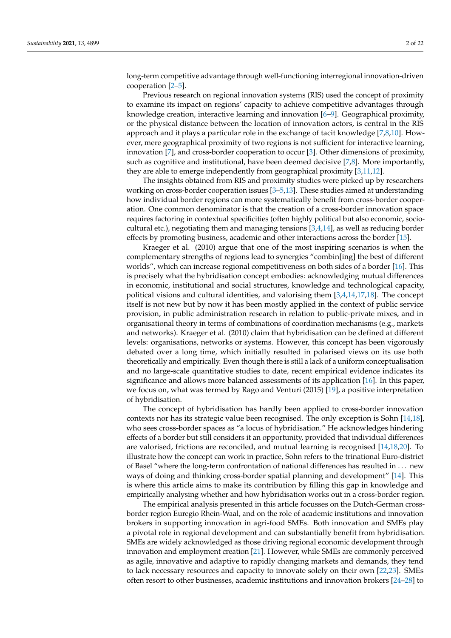long-term competitive advantage through well-functioning interregional innovation-driven cooperation [\[2](#page-18-1)[–5\]](#page-18-2).

Previous research on regional innovation systems (RIS) used the concept of proximity to examine its impact on regions' capacity to achieve competitive advantages through knowledge creation, interactive learning and innovation [\[6–](#page-18-3)[9\]](#page-18-4). Geographical proximity, or the physical distance between the location of innovation actors, is central in the RIS approach and it plays a particular role in the exchange of tacit knowledge [\[7,](#page-18-5)[8,](#page-18-6)[10\]](#page-18-7). However, mere geographical proximity of two regions is not sufficient for interactive learning, innovation [\[7\]](#page-18-5), and cross-border cooperation to occur [\[3\]](#page-18-8). Other dimensions of proximity, such as cognitive and institutional, have been deemed decisive [\[7](#page-18-5)[,8\]](#page-18-6). More importantly, they are able to emerge independently from geographical proximity [\[3,](#page-18-8)[11,](#page-18-9)[12\]](#page-19-0).

The insights obtained from RIS and proximity studies were picked up by researchers working on cross-border cooperation issues [\[3–](#page-18-8)[5,](#page-18-2)[13\]](#page-19-1). These studies aimed at understanding how individual border regions can more systematically benefit from cross-border cooperation. One common denominator is that the creation of a cross-border innovation space requires factoring in contextual specificities (often highly political but also economic, sociocultural etc.), negotiating them and managing tensions  $[3,4,14]$  $[3,4,14]$  $[3,4,14]$ , as well as reducing border effects by promoting business, academic and other interactions across the border [\[15\]](#page-19-3).

Kraeger et al. (2010) argue that one of the most inspiring scenarios is when the complementary strengths of regions lead to synergies "combin[ing] the best of different worlds", which can increase regional competitiveness on both sides of a border [\[16\]](#page-19-4). This is precisely what the hybridisation concept embodies: acknowledging mutual differences in economic, institutional and social structures, knowledge and technological capacity, political visions and cultural identities, and valorising them [\[3,](#page-18-8)[4,](#page-18-10)[14,](#page-19-2)[17,](#page-19-5)[18\]](#page-19-6). The concept itself is not new but by now it has been mostly applied in the context of public service provision, in public administration research in relation to public-private mixes, and in organisational theory in terms of combinations of coordination mechanisms (e.g., markets and networks). Kraeger et al. (2010) claim that hybridisation can be defined at different levels: organisations, networks or systems. However, this concept has been vigorously debated over a long time, which initially resulted in polarised views on its use both theoretically and empirically. Even though there is still a lack of a uniform conceptualisation and no large-scale quantitative studies to date, recent empirical evidence indicates its significance and allows more balanced assessments of its application [\[16\]](#page-19-4). In this paper, we focus on, what was termed by Rago and Venturi (2015) [\[19\]](#page-19-7), a positive interpretation of hybridisation.

The concept of hybridisation has hardly been applied to cross-border innovation contexts nor has its strategic value been recognised. The only exception is Sohn [\[14,](#page-19-2)[18\]](#page-19-6), who sees cross-border spaces as "a locus of hybridisation." He acknowledges hindering effects of a border but still considers it an opportunity, provided that individual differences are valorised, frictions are reconciled, and mutual learning is recognised [\[14,](#page-19-2)[18,](#page-19-6)[20\]](#page-19-8). To illustrate how the concept can work in practice, Sohn refers to the trinational Euro-district of Basel "where the long-term confrontation of national differences has resulted in . . . new ways of doing and thinking cross-border spatial planning and development" [\[14\]](#page-19-2). This is where this article aims to make its contribution by filling this gap in knowledge and empirically analysing whether and how hybridisation works out in a cross-border region.

The empirical analysis presented in this article focusses on the Dutch-German crossborder region Euregio Rhein-Waal, and on the role of academic institutions and innovation brokers in supporting innovation in agri-food SMEs. Both innovation and SMEs play a pivotal role in regional development and can substantially benefit from hybridisation. SMEs are widely acknowledged as those driving regional economic development through innovation and employment creation [\[21\]](#page-19-9). However, while SMEs are commonly perceived as agile, innovative and adaptive to rapidly changing markets and demands, they tend to lack necessary resources and capacity to innovate solely on their own [\[22](#page-19-10)[,23\]](#page-19-11). SMEs often resort to other businesses, academic institutions and innovation brokers [\[24–](#page-19-12)[28\]](#page-19-13) to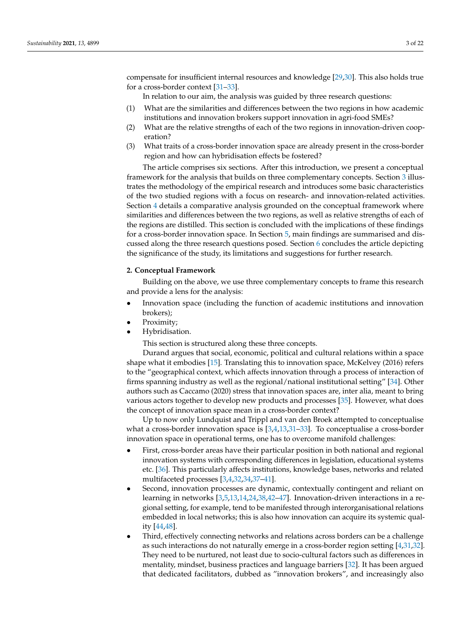compensate for insufficient internal resources and knowledge [\[29,](#page-19-14)[30\]](#page-19-15). This also holds true for a cross-border context [\[31](#page-19-16)[–33\]](#page-19-17).

In relation to our aim, the analysis was guided by three research questions:

- (1) What are the similarities and differences between the two regions in how academic institutions and innovation brokers support innovation in agri-food SMEs?
- (2) What are the relative strengths of each of the two regions in innovation-driven cooperation?
- (3) What traits of a cross-border innovation space are already present in the cross-border region and how can hybridisation effects be fostered?

The article comprises six sections. After this introduction, we present a conceptual framework for the analysis that builds on three complementary concepts. Section [3](#page-4-0) illustrates the methodology of the empirical research and introduces some basic characteristics of the two studied regions with a focus on research- and innovation-related activities. Section [4](#page-6-0) details a comparative analysis grounded on the conceptual framework where similarities and differences between the two regions, as well as relative strengths of each of the regions are distilled. This section is concluded with the implications of these findings for a cross-border innovation space. In Section [5,](#page-14-0) main findings are summarised and discussed along the three research questions posed. Section [6](#page-16-0) concludes the article depicting the significance of the study, its limitations and suggestions for further research.

## **2. Conceptual Framework**

Building on the above, we use three complementary concepts to frame this research and provide a lens for the analysis:

- Innovation space (including the function of academic institutions and innovation brokers);
- Proximity;
- Hybridisation.

This section is structured along these three concepts.

Durand argues that social, economic, political and cultural relations within a space shape what it embodies [\[15\]](#page-19-3). Translating this to innovation space, McKelvey (2016) refers to the "geographical context, which affects innovation through a process of interaction of firms spanning industry as well as the regional/national institutional setting" [\[34\]](#page-19-18). Other authors such as Caccamo (2020) stress that innovation spaces are, inter alia, meant to bring various actors together to develop new products and processes [\[35\]](#page-19-19). However, what does the concept of innovation space mean in a cross-border context?

Up to now only Lundquist and Trippl and van den Broek attempted to conceptualise what a cross-border innovation space is [\[3,](#page-18-8)[4](#page-18-10)[,13](#page-19-1)[,31](#page-19-16)-33]. To conceptualise a cross-border innovation space in operational terms, one has to overcome manifold challenges:

- First, cross-border areas have their particular position in both national and regional innovation systems with corresponding differences in legislation, educational systems etc. [\[36\]](#page-19-20). This particularly affects institutions, knowledge bases, networks and related multifaceted processes [\[3](#page-18-8)[,4](#page-18-10)[,32](#page-19-21)[,34,](#page-19-18)[37–](#page-19-22)[41\]](#page-19-23).
- Second, innovation processes are dynamic, contextually contingent and reliant on learning in networks [\[3](#page-18-8)[,5](#page-18-2)[,13](#page-19-1)[,14](#page-19-2)[,24](#page-19-12)[,38](#page-19-24)[,42–](#page-19-25)[47\]](#page-20-0). Innovation-driven interactions in a regional setting, for example, tend to be manifested through interorganisational relations embedded in local networks; this is also how innovation can acquire its systemic quality [\[44,](#page-19-26)[48\]](#page-20-1).
- Third, effectively connecting networks and relations across borders can be a challenge as such interactions do not naturally emerge in a cross-border region setting [\[4](#page-18-10)[,31](#page-19-16)[,32\]](#page-19-21). They need to be nurtured, not least due to socio-cultural factors such as differences in mentality, mindset, business practices and language barriers [\[32\]](#page-19-21). It has been argued that dedicated facilitators, dubbed as "innovation brokers", and increasingly also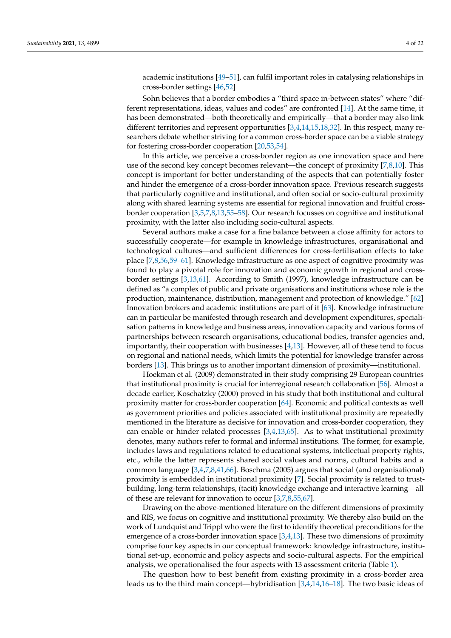academic institutions [\[49–](#page-20-2)[51\]](#page-20-3), can fulfil important roles in catalysing relationships in cross-border settings [\[46](#page-20-4)[,52\]](#page-20-5)

Sohn believes that a border embodies a "third space in-between states" where "different representations, ideas, values and codes" are confronted [\[14\]](#page-19-2). At the same time, it has been demonstrated—both theoretically and empirically—that a border may also link different territories and represent opportunities [\[3,](#page-18-8)[4,](#page-18-10)[14,](#page-19-2)[15,](#page-19-3)[18,](#page-19-6)[32\]](#page-19-21). In this respect, many researchers debate whether striving for a common cross-border space can be a viable strategy for fostering cross-border cooperation [\[20,](#page-19-8)[53,](#page-20-6)[54\]](#page-20-7).

In this article, we perceive a cross-border region as one innovation space and here use of the second key concept becomes relevant—the concept of proximity [\[7](#page-18-5)[,8](#page-18-6)[,10\]](#page-18-7). This concept is important for better understanding of the aspects that can potentially foster and hinder the emergence of a cross-border innovation space. Previous research suggests that particularly cognitive and institutional, and often social or socio-cultural proximity along with shared learning systems are essential for regional innovation and fruitful crossborder cooperation [\[3,](#page-18-8)[5,](#page-18-2)[7,](#page-18-5)[8,](#page-18-6)[13,](#page-19-1)[55–](#page-20-8)[58\]](#page-20-9). Our research focusses on cognitive and institutional proximity, with the latter also including socio-cultural aspects.

Several authors make a case for a fine balance between a close affinity for actors to successfully cooperate—for example in knowledge infrastructures, organisational and technological cultures—and sufficient differences for cross-fertilisation effects to take place [\[7](#page-18-5)[,8,](#page-18-6)[56](#page-20-10)[,59](#page-20-11)[–61\]](#page-20-12). Knowledge infrastructure as one aspect of cognitive proximity was found to play a pivotal role for innovation and economic growth in regional and crossborder settings [\[3](#page-18-8)[,13](#page-19-1)[,61\]](#page-20-12). According to Smith (1997), knowledge infrastructure can be defined as "a complex of public and private organisations and institutions whose role is the production, maintenance, distribution, management and protection of knowledge." [\[62\]](#page-20-13) Innovation brokers and academic institutions are part of it [\[63\]](#page-20-14). Knowledge infrastructure can in particular be manifested through research and development expenditures, specialisation patterns in knowledge and business areas, innovation capacity and various forms of partnerships between research organisations, educational bodies, transfer agencies and, importantly, their cooperation with businesses [\[4,](#page-18-10)[13\]](#page-19-1). However, all of these tend to focus on regional and national needs, which limits the potential for knowledge transfer across borders [\[13\]](#page-19-1). This brings us to another important dimension of proximity—institutional.

Hoekman et al. (2009) demonstrated in their study comprising 29 European countries that institutional proximity is crucial for interregional research collaboration [\[56\]](#page-20-10). Almost a decade earlier, Koschatzky (2000) proved in his study that both institutional and cultural proximity matter for cross-border cooperation [\[64\]](#page-20-15). Economic and political contexts as well as government priorities and policies associated with institutional proximity are repeatedly mentioned in the literature as decisive for innovation and cross-border cooperation, they can enable or hinder related processes  $[3,4,13,65]$  $[3,4,13,65]$  $[3,4,13,65]$  $[3,4,13,65]$ . As to what institutional proximity denotes, many authors refer to formal and informal institutions. The former, for example, includes laws and regulations related to educational systems, intellectual property rights, etc., while the latter represents shared social values and norms, cultural habits and a common language [\[3,](#page-18-8)[4,](#page-18-10)[7,](#page-18-5)[8,](#page-18-6)[41,](#page-19-23)[66\]](#page-20-17). Boschma (2005) argues that social (and organisational) proximity is embedded in institutional proximity [\[7\]](#page-18-5). Social proximity is related to trustbuilding, long-term relationships, (tacit) knowledge exchange and interactive learning—all of these are relevant for innovation to occur [\[3](#page-18-8)[,7](#page-18-5)[,8](#page-18-6)[,55](#page-20-8)[,67\]](#page-20-18).

Drawing on the above-mentioned literature on the different dimensions of proximity and RIS, we focus on cognitive and institutional proximity. We thereby also build on the work of Lundquist and Trippl who were the first to identify theoretical preconditions for the emergence of a cross-border innovation space [\[3,](#page-18-8)[4,](#page-18-10)[13\]](#page-19-1). These two dimensions of proximity comprise four key aspects in our conceptual framework: knowledge infrastructure, institutional set-up, economic and policy aspects and socio-cultural aspects. For the empirical analysis, we operationalised the four aspects with 13 assessment criteria (Table [1\)](#page-4-1).

The question how to best benefit from existing proximity in a cross-border area leads us to the third main concept—hybridisation [\[3,](#page-18-8)[4](#page-18-10)[,14,](#page-19-2)[16–](#page-19-4)[18\]](#page-19-6). The two basic ideas of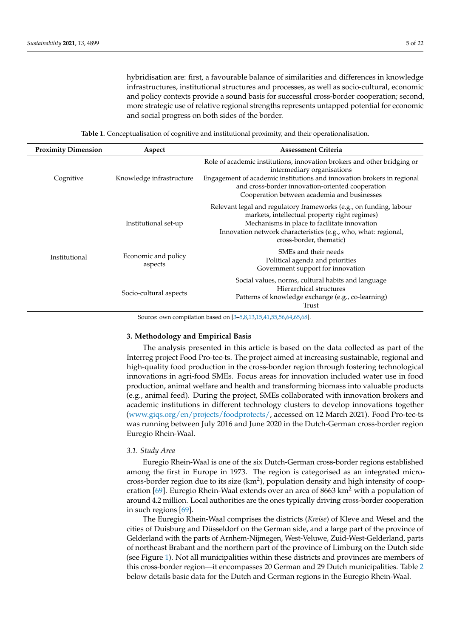hybridisation are: first, a favourable balance of similarities and differences in knowledge infrastructures, institutional structures and processes, as well as socio-cultural, economic and policy contexts provide a sound basis for successful cross-border cooperation; second, more strategic use of relative regional strengths represents untapped potential for economic and social progress on both sides of the border.

**Table 1.** Conceptualisation of cognitive and institutional proximity, and their operationalisation.

<span id="page-4-1"></span>

| <b>Proximity Dimension</b> | Aspect                         | <b>Assessment Criteria</b>                                                                                                                                                                                                                                                         |  |
|----------------------------|--------------------------------|------------------------------------------------------------------------------------------------------------------------------------------------------------------------------------------------------------------------------------------------------------------------------------|--|
| Cognitive                  | Knowledge infrastructure       | Role of academic institutions, innovation brokers and other bridging or<br>intermediary organisations<br>Engagement of academic institutions and innovation brokers in regional<br>and cross-border innovation-oriented cooperation<br>Cooperation between academia and businesses |  |
| Institutional              | Institutional set-up           | Relevant legal and regulatory frameworks (e.g., on funding, labour<br>markets, intellectual property right regimes)<br>Mechanisms in place to facilitate innovation<br>Innovation network characteristics (e.g., who, what: regional,<br>cross-border, thematic)                   |  |
|                            | Economic and policy<br>aspects | SMEs and their needs<br>Political agenda and priorities<br>Government support for innovation                                                                                                                                                                                       |  |
|                            | Socio-cultural aspects         | Social values, norms, cultural habits and language<br>Hierarchical structures<br>Patterns of knowledge exchange (e.g., co-learning)<br>Trust                                                                                                                                       |  |

Source: own compilation based on [\[3](#page-18-8)[–5](#page-18-2)[,8](#page-18-6)[,13](#page-19-1)[,15](#page-19-3)[,41](#page-19-23)[,55](#page-20-8)[,56](#page-20-10)[,64](#page-20-15)[,65,](#page-20-16)[68\]](#page-20-19).

## <span id="page-4-0"></span>**3. Methodology and Empirical Basis**

The analysis presented in this article is based on the data collected as part of the Interreg project Food Pro-tec-ts. The project aimed at increasing sustainable, regional and high-quality food production in the cross-border region through fostering technological innovations in agri-food SMEs. Focus areas for innovation included water use in food production, animal welfare and health and transforming biomass into valuable products (e.g., animal feed). During the project, SMEs collaborated with innovation brokers and academic institutions in different technology clusters to develop innovations together [\(www.giqs.org/en/projects/foodprotects/,](www.giqs.org/en/projects/foodprotects/) accessed on 12 March 2021). Food Pro-tec-ts was running between July 2016 and June 2020 in the Dutch-German cross-border region Euregio Rhein-Waal.

## *3.1. Study Area*

Euregio Rhein-Waal is one of the six Dutch-German cross-border regions established among the first in Europe in 1973. The region is categorised as an integrated microcross-border region due to its size  $(km^2)$ , population density and high intensity of coop-eration [\[69\]](#page-20-20). Euregio Rhein-Waal extends over an area of 8663 km<sup>2</sup> with a population of around 4.2 million. Local authorities are the ones typically driving cross-border cooperation in such regions [\[69\]](#page-20-20).

The Euregio Rhein-Waal comprises the districts (*Kreise*) of Kleve and Wesel and the cities of Duisburg and Düsseldorf on the German side, and a large part of the province of Gelderland with the parts of Arnhem-Nijmegen, West-Veluwe, Zuid-West-Gelderland, parts of northeast Brabant and the northern part of the province of Limburg on the Dutch side (see Figure [1\)](#page-5-0). Not all municipalities within these districts and provinces are members of this cross-border region—it encompasses 20 German and 29 Dutch municipalities. Table [2](#page-5-1) below details basic data for the Dutch and German regions in the Euregio Rhein-Waal.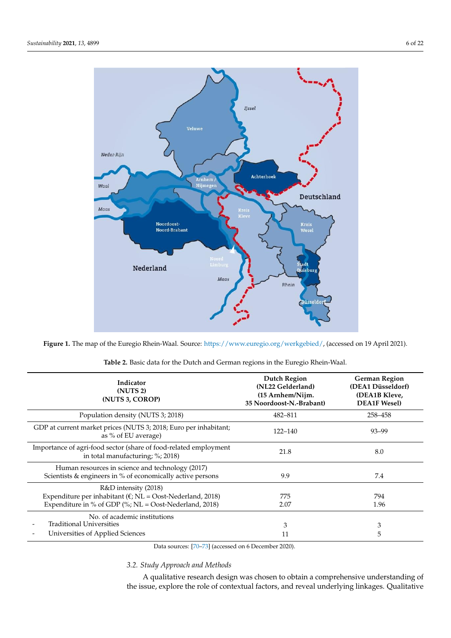<span id="page-5-0"></span>

ble 2 below details basic data for the Dutch and German regions in the Euregio Rhein-

Figure 1. The map of the Euregio Rhein-Waal. Source: [https://www.euregio.org/werkgebied/,](https://www.euregio.org/werkgebied/) (accessed on 19 April 2021).

<span id="page-5-1"></span>

| Indicator<br>(NUTS <sub>2</sub> )<br>(NUTS 3, COROP)                                                                                                      | <b>Dutch Region</b><br>(NL22 Gelderland)<br>(15 Arnhem/Nijm.<br>35 Noordoost-N.-Brabant) | <b>German Region</b><br>(DEA1 Düsseldorf)<br>(DEA1B Kleve,<br><b>DEA1F Wesel)</b> |
|-----------------------------------------------------------------------------------------------------------------------------------------------------------|------------------------------------------------------------------------------------------|-----------------------------------------------------------------------------------|
| Population density (NUTS 3; 2018)                                                                                                                         | 482-811                                                                                  | 258-458                                                                           |
| GDP at current market prices (NUTS 3; 2018; Euro per inhabitant;<br>as % of EU average)                                                                   | $122 - 140$                                                                              | $93 - 99$                                                                         |
| Importance of agri-food sector (share of food-related employment<br>in total manufacturing; %; 2018)                                                      | 21.8                                                                                     | 8.0                                                                               |
| Human resources in science and technology (2017)<br>Scientists & engineers in % of economically active persons                                            | 9.9                                                                                      | 7.4                                                                               |
| R&D intensity (2018)<br>Expenditure per inhabitant ( $\epsilon$ ; NL = Oost-Nederland, 2018)<br>Expenditure in % of GDP (%; $NL = Cost-Nederland, 2018$ ) | 775<br>2.07                                                                              | 794<br>1.96                                                                       |
| No. of academic institutions<br><b>Traditional Universities</b><br>Universities of Applied Sciences                                                       | 3<br>11                                                                                  | 3<br>5                                                                            |

| <b>Table 2.</b> Basic data for the Dutch and German regions in the Euregio Rhein-Waal. |
|----------------------------------------------------------------------------------------|
|----------------------------------------------------------------------------------------|

Data sources: [\[70](#page-20-21)[–73\]](#page-20-22) (accessed on 6 December 2020).

## *3.2. Study Approach and Methods*

A qualitative research design was chosen to obtain a comprehensive understanding of the issue, explore the role of contextual factors, and reveal underlying linkages. Qualitative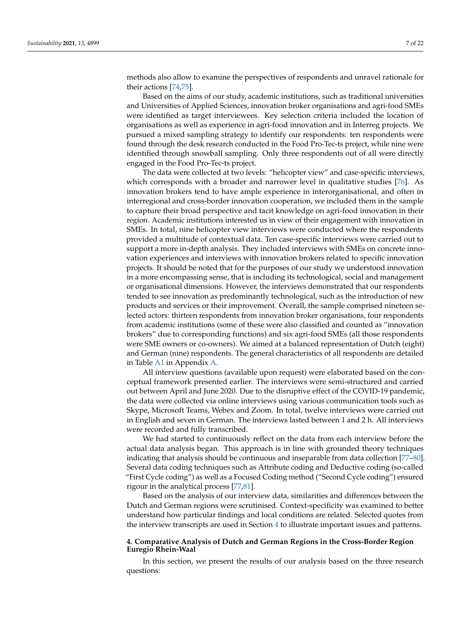methods also allow to examine the perspectives of respondents and unravel rationale for their actions [\[74,](#page-21-0)[75\]](#page-21-1).

Based on the aims of our study, academic institutions, such as traditional universities and Universities of Applied Sciences, innovation broker organisations and agri-food SMEs were identified as target interviewees. Key selection criteria included the location of organisations as well as experience in agri-food innovation and in Interreg projects. We pursued a mixed sampling strategy to identify our respondents: ten respondents were found through the desk research conducted in the Food Pro-Tec-ts project, while nine were identified through snowball sampling. Only three respondents out of all were directly engaged in the Food Pro-Tec-ts project.

The data were collected at two levels: "helicopter view" and case-specific interviews, which corresponds with a broader and narrower level in qualitative studies [\[76\]](#page-21-2). As innovation brokers tend to have ample experience in interorganisational, and often in interregional and cross-border innovation cooperation, we included them in the sample to capture their broad perspective and tacit knowledge on agri-food innovation in their region. Academic institutions interested us in view of their engagement with innovation in SMEs. In total, nine helicopter view interviews were conducted where the respondents provided a multitude of contextual data. Ten case-specific interviews were carried out to support a more in-depth analysis. They included interviews with SMEs on concrete innovation experiences and interviews with innovation brokers related to specific innovation projects. It should be noted that for the purposes of our study we understood innovation in a more encompassing sense, that is including its technological, social and management or organisational dimensions. However, the interviews demonstrated that our respondents tended to see innovation as predominantly technological, such as the introduction of new products and services or their improvement. Overall, the sample comprised nineteen selected actors: thirteen respondents from innovation broker organisations, four respondents from academic institutions (some of these were also classified and counted as "innovation brokers" due to corresponding functions) and six agri-food SMEs (all those respondents were SME owners or co-owners). We aimed at a balanced representation of Dutch (eight) and German (nine) respondents. The general characteristics of all respondents are detailed in Table [A1](#page-18-11) in Appendix [A.](#page-18-12)

All interview questions (available upon request) were elaborated based on the conceptual framework presented earlier. The interviews were semi-structured and carried out between April and June 2020. Due to the disruptive effect of the COVID-19 pandemic, the data were collected via online interviews using various communication tools such as Skype, Microsoft Teams, Webex and Zoom. In total, twelve interviews were carried out in English and seven in German. The interviews lasted between 1 and 2 h. All interviews were recorded and fully transcribed.

We had started to continuously reflect on the data from each interview before the actual data analysis began. This approach is in line with grounded theory techniques indicating that analysis should be continuous and inseparable from data collection [\[77](#page-21-3)[–80\]](#page-21-4). Several data coding techniques such as Attribute coding and Deductive coding (so-called "First Cycle coding") as well as a Focused Coding method ("Second Cycle coding") ensured rigour in the analytical process [\[77](#page-21-3)[,81\]](#page-21-5).

Based on the analysis of our interview data, similarities and differences between the Dutch and German regions were scrutinised. Context-specificity was examined to better understand how particular findings and local conditions are related. Selected quotes from the interview transcripts are used in Section [4](#page-6-0) to illustrate important issues and patterns.

## <span id="page-6-0"></span>**4. Comparative Analysis of Dutch and German Regions in the Cross-Border Region Euregio Rhein-Waal**

In this section, we present the results of our analysis based on the three research questions: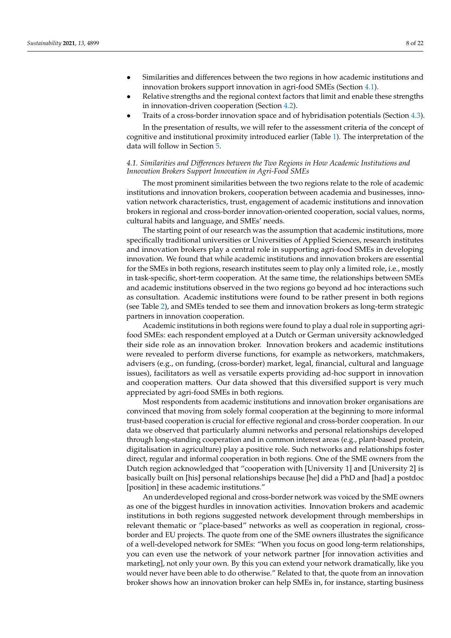- Similarities and differences between the two regions in how academic institutions and innovation brokers support innovation in agri-food SMEs (Section [4.1\)](#page-7-0).
- Relative strengths and the regional context factors that limit and enable these strengths in innovation-driven cooperation (Section [4.2\)](#page-8-0).
- Traits of a cross-border innovation space and of hybridisation potentials (Section [4.3\)](#page-13-0).

In the presentation of results, we will refer to the assessment criteria of the concept of cognitive and institutional proximity introduced earlier (Table [1\)](#page-4-1). The interpretation of the data will follow in Section [5.](#page-14-0)

## <span id="page-7-0"></span>*4.1. Similarities and Differences between the Two Regions in How Academic Institutions and Innovation Brokers Support Innovation in Agri-Food SMEs*

The most prominent similarities between the two regions relate to the role of academic institutions and innovation brokers, cooperation between academia and businesses, innovation network characteristics, trust, engagement of academic institutions and innovation brokers in regional and cross-border innovation-oriented cooperation, social values, norms, cultural habits and language, and SMEs' needs.

The starting point of our research was the assumption that academic institutions, more specifically traditional universities or Universities of Applied Sciences, research institutes and innovation brokers play a central role in supporting agri-food SMEs in developing innovation. We found that while academic institutions and innovation brokers are essential for the SMEs in both regions, research institutes seem to play only a limited role, i.e., mostly in task-specific, short-term cooperation. At the same time, the relationships between SMEs and academic institutions observed in the two regions go beyond ad hoc interactions such as consultation. Academic institutions were found to be rather present in both regions (see Table [2\)](#page-5-1), and SMEs tended to see them and innovation brokers as long-term strategic partners in innovation cooperation.

Academic institutions in both regions were found to play a dual role in supporting agrifood SMEs: each respondent employed at a Dutch or German university acknowledged their side role as an innovation broker. Innovation brokers and academic institutions were revealed to perform diverse functions, for example as networkers, matchmakers, advisers (e.g., on funding, (cross-border) market, legal, financial, cultural and language issues), facilitators as well as versatile experts providing ad-hoc support in innovation and cooperation matters. Our data showed that this diversified support is very much appreciated by agri-food SMEs in both regions.

Most respondents from academic institutions and innovation broker organisations are convinced that moving from solely formal cooperation at the beginning to more informal trust-based cooperation is crucial for effective regional and cross-border cooperation. In our data we observed that particularly alumni networks and personal relationships developed through long-standing cooperation and in common interest areas (e.g., plant-based protein, digitalisation in agriculture) play a positive role. Such networks and relationships foster direct, regular and informal cooperation in both regions. One of the SME owners from the Dutch region acknowledged that "cooperation with [University 1] and [University 2] is basically built on [his] personal relationships because [he] did a PhD and [had] a postdoc [position] in these academic institutions."

An underdeveloped regional and cross-border network was voiced by the SME owners as one of the biggest hurdles in innovation activities. Innovation brokers and academic institutions in both regions suggested network development through memberships in relevant thematic or "place-based" networks as well as cooperation in regional, crossborder and EU projects. The quote from one of the SME owners illustrates the significance of a well-developed network for SMEs: "When you focus on good long-term relationships, you can even use the network of your network partner [for innovation activities and marketing], not only your own. By this you can extend your network dramatically, like you would never have been able to do otherwise." Related to that, the quote from an innovation broker shows how an innovation broker can help SMEs in, for instance, starting business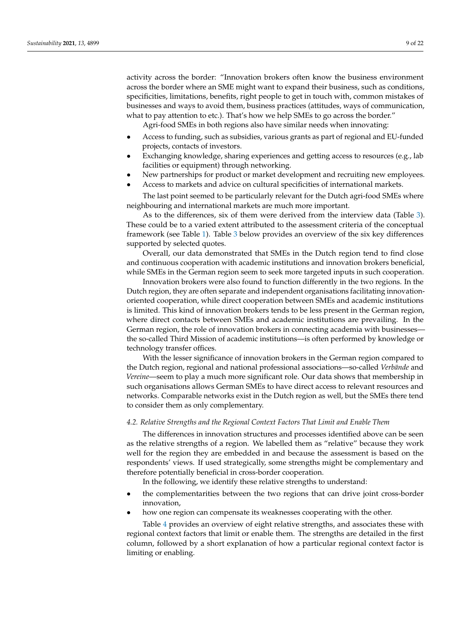activity across the border: "Innovation brokers often know the business environment across the border where an SME might want to expand their business, such as conditions, specificities, limitations, benefits, right people to get in touch with, common mistakes of businesses and ways to avoid them, business practices (attitudes, ways of communication, what to pay attention to etc.). That's how we help SMEs to go across the border."

Agri-food SMEs in both regions also have similar needs when innovating:

- Access to funding, such as subsidies, various grants as part of regional and EU-funded projects, contacts of investors.
- Exchanging knowledge, sharing experiences and getting access to resources (e.g., lab facilities or equipment) through networking.
- New partnerships for product or market development and recruiting new employees.
- Access to markets and advice on cultural specificities of international markets.

The last point seemed to be particularly relevant for the Dutch agri-food SMEs where neighbouring and international markets are much more important.

As to the differences, six of them were derived from the interview data (Table [3\)](#page-11-0). These could be to a varied extent attributed to the assessment criteria of the conceptual framework (see Table [1\)](#page-4-1). Table [3](#page-11-0) below provides an overview of the six key differences supported by selected quotes.

Overall, our data demonstrated that SMEs in the Dutch region tend to find close and continuous cooperation with academic institutions and innovation brokers beneficial, while SMEs in the German region seem to seek more targeted inputs in such cooperation.

Innovation brokers were also found to function differently in the two regions. In the Dutch region, they are often separate and independent organisations facilitating innovationoriented cooperation, while direct cooperation between SMEs and academic institutions is limited. This kind of innovation brokers tends to be less present in the German region, where direct contacts between SMEs and academic institutions are prevailing. In the German region, the role of innovation brokers in connecting academia with businesses the so-called Third Mission of academic institutions—is often performed by knowledge or technology transfer offices.

With the lesser significance of innovation brokers in the German region compared to the Dutch region, regional and national professional associations—so-called *Verbände* and *Vereine*—seem to play a much more significant role. Our data shows that membership in such organisations allows German SMEs to have direct access to relevant resources and networks. Comparable networks exist in the Dutch region as well, but the SMEs there tend to consider them as only complementary.

#### <span id="page-8-0"></span>*4.2. Relative Strengths and the Regional Context Factors That Limit and Enable Them*

The differences in innovation structures and processes identified above can be seen as the relative strengths of a region. We labelled them as "relative" because they work well for the region they are embedded in and because the assessment is based on the respondents' views. If used strategically, some strengths might be complementary and therefore potentially beneficial in cross-border cooperation.

In the following, we identify these relative strengths to understand:

- the complementarities between the two regions that can drive joint cross-border innovation,
- how one region can compensate its weaknesses cooperating with the other.

Table [4](#page-12-0) provides an overview of eight relative strengths, and associates these with regional context factors that limit or enable them. The strengths are detailed in the first column, followed by a short explanation of how a particular regional context factor is limiting or enabling.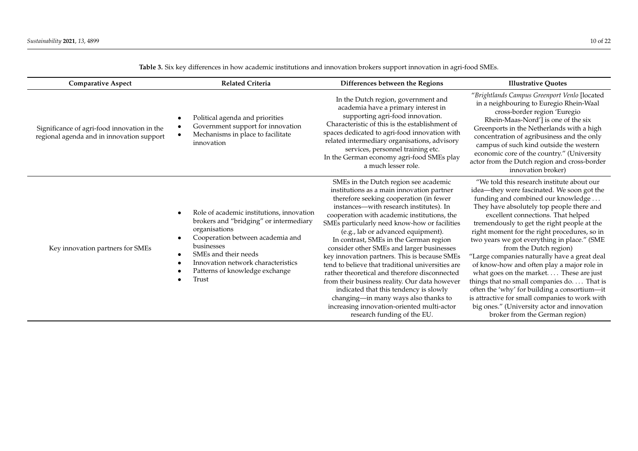| <b>Comparative Aspect</b>                                                                | <b>Related Criteria</b>                                                                                                                                                                                                                                                                                             | Differences between the Regions                                                                                                                                                                                                                                                                                                                                                                                                                                                                                                                                                                                                                                                                                                                                              | <b>Illustrative Ouotes</b>                                                                                                                                                                                                                                                                                                                                                                                                                                                                                                                                                                                                                                                                                                                                         |  |
|------------------------------------------------------------------------------------------|---------------------------------------------------------------------------------------------------------------------------------------------------------------------------------------------------------------------------------------------------------------------------------------------------------------------|------------------------------------------------------------------------------------------------------------------------------------------------------------------------------------------------------------------------------------------------------------------------------------------------------------------------------------------------------------------------------------------------------------------------------------------------------------------------------------------------------------------------------------------------------------------------------------------------------------------------------------------------------------------------------------------------------------------------------------------------------------------------------|--------------------------------------------------------------------------------------------------------------------------------------------------------------------------------------------------------------------------------------------------------------------------------------------------------------------------------------------------------------------------------------------------------------------------------------------------------------------------------------------------------------------------------------------------------------------------------------------------------------------------------------------------------------------------------------------------------------------------------------------------------------------|--|
| Significance of agri-food innovation in the<br>regional agenda and in innovation support | Political agenda and priorities<br>$\bullet$<br>Government support for innovation<br>Mechanisms in place to facilitate<br>innovation                                                                                                                                                                                | In the Dutch region, government and<br>academia have a primary interest in<br>supporting agri-food innovation.<br>Characteristic of this is the establishment of<br>spaces dedicated to agri-food innovation with<br>related intermediary organisations, advisory<br>services, personnel training etc.<br>In the German economy agri-food SMEs play<br>a much lesser role.                                                                                                                                                                                                                                                                                                                                                                                                   | "Brightlands Campus Greenport Venlo [located<br>in a neighbouring to Euregio Rhein-Waal<br>cross-border region 'Euregio<br>Rhein-Maas-Nord'] is one of the six<br>Greenports in the Netherlands with a high<br>concentration of agribusiness and the only<br>campus of such kind outside the western<br>economic core of the country." (University<br>actor from the Dutch region and cross-border<br>innovation broker)                                                                                                                                                                                                                                                                                                                                           |  |
| Key innovation partners for SMEs                                                         | Role of academic institutions, innovation<br>$\bullet$<br>brokers and "bridging" or intermediary<br>organisations<br>Cooperation between academia and<br>$\bullet$<br>businesses<br>SMEs and their needs<br>$\bullet$<br>Innovation network characteristics<br>$\bullet$<br>Patterns of knowledge exchange<br>Trust | SMEs in the Dutch region see academic<br>institutions as a main innovation partner<br>therefore seeking cooperation (in fewer<br>instances—with research institutes). In<br>cooperation with academic institutions, the<br>SMEs particularly need know-how or facilities<br>(e.g., lab or advanced equipment).<br>In contrast, SMEs in the German region<br>consider other SMEs and larger businesses<br>key innovation partners. This is because SMEs<br>tend to believe that traditional universities are<br>rather theoretical and therefore disconnected<br>from their business reality. Our data however<br>indicated that this tendency is slowly<br>changing-in many ways also thanks to<br>increasing innovation-oriented multi-actor<br>research funding of the EU. | "We told this research institute about our<br>idea-they were fascinated. We soon got the<br>funding and combined our knowledge<br>They have absolutely top people there and<br>excellent connections. That helped<br>tremendously to get the right people at the<br>right moment for the right procedures, so in<br>two years we got everything in place." (SME<br>from the Dutch region)<br>"Large companies naturally have a great deal<br>of know-how and often play a major role in<br>what goes on the market These are just<br>things that no small companies do. That is<br>often the 'why' for building a consortium-it<br>is attractive for small companies to work with<br>big ones." (University actor and innovation<br>broker from the German region) |  |

**Table 3.** Six key differences in how academic institutions and innovation brokers support innovation in agri-food SMEs.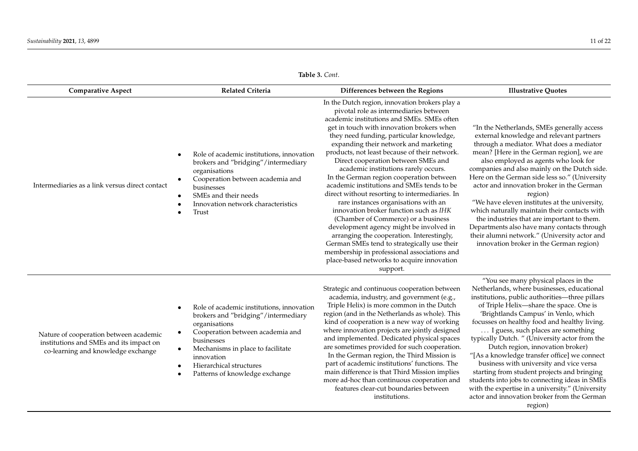**Table 3.** *Cont*.

| <b>Comparative Aspect</b>                                                                                               | <b>Related Criteria</b>                                                                                                                                                                                                    | Differences between the Regions                                                                                                                                                                                                                                                                                                                                                                                                                                                                                                                                                                                                                                                                                                                                                                                                                                                                                               | <b>Illustrative Quotes</b>                                                                                                                                                                                                                                                                                                                                                                                                                                                                                                                                                                                                                                                |  |
|-------------------------------------------------------------------------------------------------------------------------|----------------------------------------------------------------------------------------------------------------------------------------------------------------------------------------------------------------------------|-------------------------------------------------------------------------------------------------------------------------------------------------------------------------------------------------------------------------------------------------------------------------------------------------------------------------------------------------------------------------------------------------------------------------------------------------------------------------------------------------------------------------------------------------------------------------------------------------------------------------------------------------------------------------------------------------------------------------------------------------------------------------------------------------------------------------------------------------------------------------------------------------------------------------------|---------------------------------------------------------------------------------------------------------------------------------------------------------------------------------------------------------------------------------------------------------------------------------------------------------------------------------------------------------------------------------------------------------------------------------------------------------------------------------------------------------------------------------------------------------------------------------------------------------------------------------------------------------------------------|--|
| Intermediaries as a link versus direct contact                                                                          | Role of academic institutions, innovation<br>brokers and "bridging"/intermediary<br>organisations<br>Cooperation between academia and<br>businesses<br>SMEs and their needs<br>Innovation network characteristics<br>Trust | In the Dutch region, innovation brokers play a<br>pivotal role as intermediaries between<br>academic institutions and SMEs. SMEs often<br>get in touch with innovation brokers when<br>they need funding, particular knowledge,<br>expanding their network and marketing<br>products, not least because of their network.<br>Direct cooperation between SMEs and<br>academic institutions rarely occurs.<br>In the German region cooperation between<br>academic institutions and SMEs tends to be<br>direct without resorting to intermediaries. In<br>rare instances organisations with an<br>innovation broker function such as IHK<br>(Chamber of Commerce) or a business<br>development agency might be involved in<br>arranging the cooperation. Interestingly,<br>German SMEs tend to strategically use their<br>membership in professional associations and<br>place-based networks to acquire innovation<br>support. | "In the Netherlands, SMEs generally access<br>external knowledge and relevant partners<br>through a mediator. What does a mediator<br>mean? [Here in the German region], we are<br>also employed as agents who look for<br>companies and also mainly on the Dutch side.<br>Here on the German side less so." (University<br>actor and innovation broker in the German<br>region)<br>"We have eleven institutes at the university,<br>which naturally maintain their contacts with<br>the industries that are important to them.<br>Departments also have many contacts through<br>their alumni network." (University actor and<br>innovation broker in the German region) |  |
| Nature of cooperation between academic<br>institutions and SMEs and its impact on<br>co-learning and knowledge exchange | Role of academic institutions, innovation<br>brokers and "bridging"/intermediary<br>organisations<br>Cooperation between academia and<br>businesses<br>Mechanisms in place to facilitate<br>innovation                     | Strategic and continuous cooperation between<br>academia, industry, and government (e.g.,<br>Triple Helix) is more common in the Dutch<br>region (and in the Netherlands as whole). This<br>kind of cooperation is a new way of working<br>where innovation projects are jointly designed<br>and implemented. Dedicated physical spaces<br>are sometimes provided for such cooperation.<br>In the German region, the Third Mission is                                                                                                                                                                                                                                                                                                                                                                                                                                                                                         | "You see many physical places in the<br>Netherlands, where businesses, educational<br>institutions, public authorities-three pillars<br>of Triple Helix-share the space. One is<br>'Brightlands Campus' in Venlo, which<br>focusses on healthy food and healthy living.<br>I guess, such places are something<br>typically Dutch." (University actor from the<br>Dutch region, innovation broker)<br>"[As a knowledge transfer office] we connect                                                                                                                                                                                                                         |  |

- Hierarchical structures
- Patterns of knowledge exchange

part of academic institutions' functions. The main difference is that Third Mission implies more ad-hoc than continuous cooperation and features clear-cut boundaries between institutions.

business with university and vice versa starting from student projects and bringing students into jobs to connecting ideas in SMEs with the expertise in a university." (University actor and innovation broker from the German region)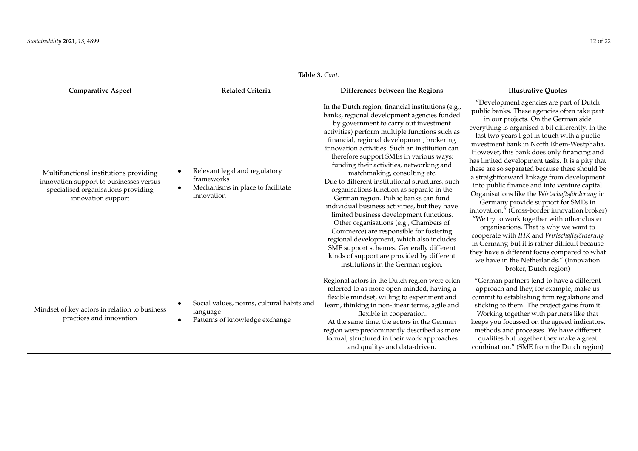| Table 3. Cont. |  |
|----------------|--|
|----------------|--|

<span id="page-11-0"></span>

| <b>Comparative Aspect</b>                                                                                                                      | <b>Related Criteria</b>                                                                                                  | Differences between the Regions                                                                                                                                                                                                                                                                                                                                                                                                                                                                                                                                                                                                                                                                                                                                                                                                                                                                                           | <b>Illustrative Quotes</b>                                                                                                                                                                                                                                                                                                                                                                                                                                                                                                                                                                                                                                                                                                                                                                                                                                                                                                                                                                  |
|------------------------------------------------------------------------------------------------------------------------------------------------|--------------------------------------------------------------------------------------------------------------------------|---------------------------------------------------------------------------------------------------------------------------------------------------------------------------------------------------------------------------------------------------------------------------------------------------------------------------------------------------------------------------------------------------------------------------------------------------------------------------------------------------------------------------------------------------------------------------------------------------------------------------------------------------------------------------------------------------------------------------------------------------------------------------------------------------------------------------------------------------------------------------------------------------------------------------|---------------------------------------------------------------------------------------------------------------------------------------------------------------------------------------------------------------------------------------------------------------------------------------------------------------------------------------------------------------------------------------------------------------------------------------------------------------------------------------------------------------------------------------------------------------------------------------------------------------------------------------------------------------------------------------------------------------------------------------------------------------------------------------------------------------------------------------------------------------------------------------------------------------------------------------------------------------------------------------------|
| Multifunctional institutions providing<br>innovation support to businesses versus<br>specialised organisations providing<br>innovation support | Relevant legal and regulatory<br>$\bullet$<br>frameworks<br>Mechanisms in place to facilitate<br>$\bullet$<br>innovation | In the Dutch region, financial institutions (e.g.,<br>banks, regional development agencies funded<br>by government to carry out investment<br>activities) perform multiple functions such as<br>financial, regional development, brokering<br>innovation activities. Such an institution can<br>therefore support SMEs in various ways:<br>funding their activities, networking and<br>matchmaking, consulting etc.<br>Due to different institutional structures, such<br>organisations function as separate in the<br>German region. Public banks can fund<br>individual business activities, but they have<br>limited business development functions.<br>Other organisations (e.g., Chambers of<br>Commerce) are responsible for fostering<br>regional development, which also includes<br>SME support schemes. Generally different<br>kinds of support are provided by different<br>institutions in the German region. | "Development agencies are part of Dutch<br>public banks. These agencies often take part<br>in our projects. On the German side<br>everything is organised a bit differently. In the<br>last two years I got in touch with a public<br>investment bank in North Rhein-Westphalia.<br>However, this bank does only financing and<br>has limited development tasks. It is a pity that<br>these are so separated because there should be<br>a straightforward linkage from development<br>into public finance and into venture capital.<br>Organisations like the Wirtschaftsförderung in<br>Germany provide support for SMEs in<br>innovation." (Cross-border innovation broker)<br>"We try to work together with other cluster<br>organisations. That is why we want to<br>cooperate with IHK and Wirtschaftsförderung<br>in Germany, but it is rather difficult because<br>they have a different focus compared to what<br>we have in the Netherlands." (Innovation<br>broker, Dutch region) |
| Mindset of key actors in relation to business<br>practices and innovation                                                                      | Social values, norms, cultural habits and<br>$\bullet$<br>language<br>Patterns of knowledge exchange<br>$\bullet$        | Regional actors in the Dutch region were often<br>referred to as more open-minded, having a<br>flexible mindset, willing to experiment and<br>learn, thinking in non-linear terms, agile and<br>flexible in cooperation.<br>At the same time, the actors in the German<br>region were predominantly described as more<br>formal, structured in their work approaches<br>and quality- and data-driven.                                                                                                                                                                                                                                                                                                                                                                                                                                                                                                                     | "German partners tend to have a different<br>approach and they, for example, make us<br>commit to establishing firm regulations and<br>sticking to them. The project gains from it.<br>Working together with partners like that<br>keeps you focussed on the agreed indicators,<br>methods and processes. We have different<br>qualities but together they make a great<br>combination." (SME from the Dutch region)                                                                                                                                                                                                                                                                                                                                                                                                                                                                                                                                                                        |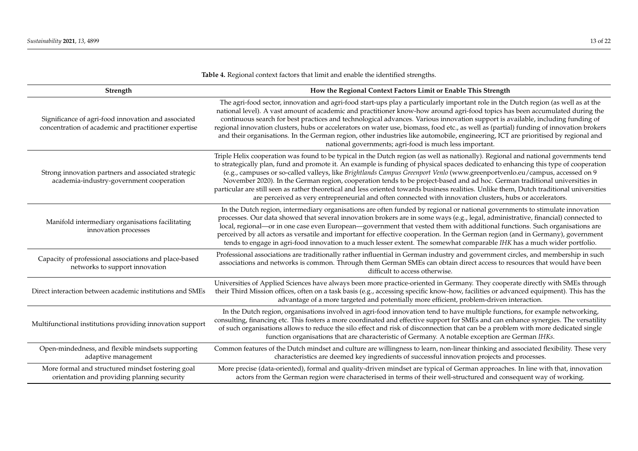<span id="page-12-0"></span>

| Strength                                                                                                    | How the Regional Context Factors Limit or Enable This Strength                                                                                                                                                                                                                                                                                                                                                                                                                                                                                                                                                                                                                                                                                                                                     |  |  |
|-------------------------------------------------------------------------------------------------------------|----------------------------------------------------------------------------------------------------------------------------------------------------------------------------------------------------------------------------------------------------------------------------------------------------------------------------------------------------------------------------------------------------------------------------------------------------------------------------------------------------------------------------------------------------------------------------------------------------------------------------------------------------------------------------------------------------------------------------------------------------------------------------------------------------|--|--|
| Significance of agri-food innovation and associated<br>concentration of academic and practitioner expertise | The agri-food sector, innovation and agri-food start-ups play a particularly important role in the Dutch region (as well as at the<br>national level). A vast amount of academic and practitioner know-how around agri-food topics has been accumulated during the<br>continuous search for best practices and technological advances. Various innovation support is available, including funding of<br>regional innovation clusters, hubs or accelerators on water use, biomass, food etc., as well as (partial) funding of innovation brokers<br>and their organisations. In the German region, other industries like automobile, engineering, ICT are prioritised by regional and<br>national governments; agri-food is much less important.                                                    |  |  |
| Strong innovation partners and associated strategic<br>academia-industry-government cooperation             | Triple Helix cooperation was found to be typical in the Dutch region (as well as nationally). Regional and national governments tend<br>to strategically plan, fund and promote it. An example is funding of physical spaces dedicated to enhancing this type of cooperation<br>(e.g., campuses or so-called valleys, like Brightlands Campus Greenport Venlo (www.greenportvenlo.eu/campus, accessed on 9<br>November 2020). In the German region, cooperation tends to be project-based and ad hoc. German traditional universities in<br>particular are still seen as rather theoretical and less oriented towards business realities. Unlike them, Dutch traditional universities<br>are perceived as very entrepreneurial and often connected with innovation clusters, hubs or accelerators. |  |  |
| Manifold intermediary organisations facilitating<br>innovation processes                                    | In the Dutch region, intermediary organisations are often funded by regional or national governments to stimulate innovation<br>processes. Our data showed that several innovation brokers are in some ways (e.g., legal, administrative, financial) connected to<br>local, regional—or in one case even European—government that vested them with additional functions. Such organisations are<br>perceived by all actors as versatile and important for effective cooperation. In the German region (and in Germany), government<br>tends to engage in agri-food innovation to a much lesser extent. The somewhat comparable IHK has a much wider portfolio.                                                                                                                                     |  |  |
| Capacity of professional associations and place-based<br>networks to support innovation                     | Professional associations are traditionally rather influential in German industry and government circles, and membership in such<br>associations and networks is common. Through them German SMEs can obtain direct access to resources that would have been<br>difficult to access otherwise.                                                                                                                                                                                                                                                                                                                                                                                                                                                                                                     |  |  |
| Direct interaction between academic institutions and SMEs                                                   | Universities of Applied Sciences have always been more practice-oriented in Germany. They cooperate directly with SMEs through<br>their Third Mission offices, often on a task basis (e.g., accessing specific know-how, facilities or advanced equipment). This has the<br>advantage of a more targeted and potentially more efficient, problem-driven interaction.                                                                                                                                                                                                                                                                                                                                                                                                                               |  |  |
| Multifunctional institutions providing innovation support                                                   | In the Dutch region, organisations involved in agri-food innovation tend to have multiple functions, for example networking,<br>consulting, financing etc. This fosters a more coordinated and effective support for SMEs and can enhance synergies. The versatility<br>of such organisations allows to reduce the silo effect and risk of disconnection that can be a problem with more dedicated single<br>function organisations that are characteristic of Germany. A notable exception are German IHKs.                                                                                                                                                                                                                                                                                       |  |  |
| Open-mindedness, and flexible mindsets supporting<br>adaptive management                                    | Common features of the Dutch mindset and culture are willingness to learn, non-linear thinking and associated flexibility. These very<br>characteristics are deemed key ingredients of successful innovation projects and processes.                                                                                                                                                                                                                                                                                                                                                                                                                                                                                                                                                               |  |  |
| More formal and structured mindset fostering goal<br>orientation and providing planning security            | More precise (data-oriented), formal and quality-driven mindset are typical of German approaches. In line with that, innovation<br>actors from the German region were characterised in terms of their well-structured and consequent way of working.                                                                                                                                                                                                                                                                                                                                                                                                                                                                                                                                               |  |  |

**Table 4.** Regional context factors that limit and enable the identified strengths.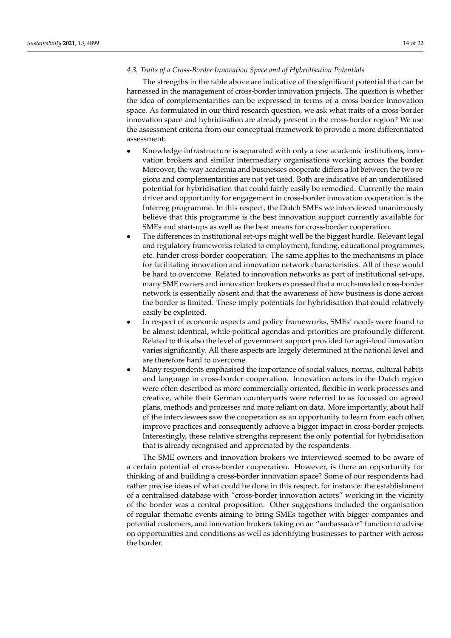## <span id="page-13-0"></span>*4.3. Traits of a Cross-Border Innovation Space and of Hybridisation Potentials*

The strengths in the table above are indicative of the significant potential that can be harnessed in the management of cross-border innovation projects. The question is whether the idea of complementarities can be expressed in terms of a cross-border innovation space. As formulated in our third research question, we ask what traits of a cross-border innovation space and hybridisation are already present in the cross-border region? We use the assessment criteria from our conceptual framework to provide a more differentiated assessment:

- Knowledge infrastructure is separated with only a few academic institutions, innovation brokers and similar intermediary organisations working across the border. Moreover, the way academia and businesses cooperate differs a lot between the two regions and complementarities are not yet used. Both are indicative of an underutilised potential for hybridisation that could fairly easily be remedied. Currently the main driver and opportunity for engagement in cross-border innovation cooperation is the Interreg programme. In this respect, the Dutch SMEs we interviewed unanimously believe that this programme is the best innovation support currently available for SMEs and start-ups as well as the best means for cross-border cooperation.
- The differences in institutional set-ups might well be the biggest hurdle. Relevant legal and regulatory frameworks related to employment, funding, educational programmes, etc. hinder cross-border cooperation. The same applies to the mechanisms in place for facilitating innovation and innovation network characteristics. All of these would be hard to overcome. Related to innovation networks as part of institutional set-ups, many SME owners and innovation brokers expressed that a much-needed cross-border network is essentially absent and that the awareness of how business is done across the border is limited. These imply potentials for hybridisation that could relatively easily be exploited.
- In respect of economic aspects and policy frameworks, SMEs' needs were found to be almost identical, while political agendas and priorities are profoundly different. Related to this also the level of government support provided for agri-food innovation varies significantly. All these aspects are largely determined at the national level and are therefore hard to overcome.
- Many respondents emphasised the importance of social values, norms, cultural habits and language in cross-border cooperation. Innovation actors in the Dutch region were often described as more commercially oriented, flexible in work processes and creative, while their German counterparts were referred to as focussed on agreed plans, methods and processes and more reliant on data. More importantly, about half of the interviewees saw the cooperation as an opportunity to learn from each other, improve practices and consequently achieve a bigger impact in cross-border projects. Interestingly, these relative strengths represent the only potential for hybridisation that is already recognised and appreciated by the respondents.

The SME owners and innovation brokers we interviewed seemed to be aware of a certain potential of cross-border cooperation. However, is there an opportunity for thinking of and building a cross-border innovation space? Some of our respondents had rather precise ideas of what could be done in this respect, for instance: the establishment of a centralised database with "cross-border innovation actors" working in the vicinity of the border was a central proposition. Other suggestions included the organisation of regular thematic events aiming to bring SMEs together with bigger companies and potential customers, and innovation brokers taking on an "ambassador" function to advise on opportunities and conditions as well as identifying businesses to partner with across the border.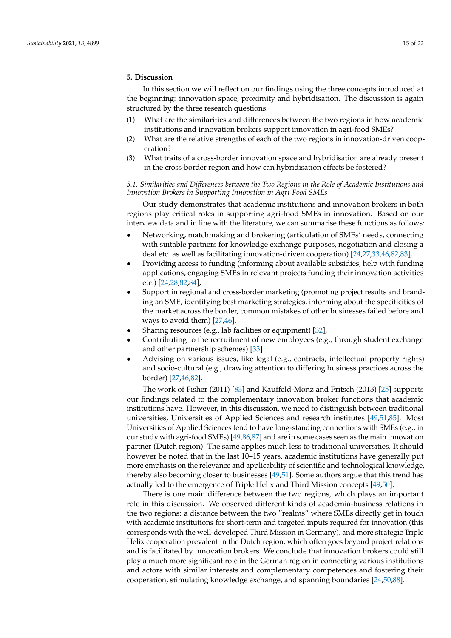## <span id="page-14-0"></span>**5. Discussion**

In this section we will reflect on our findings using the three concepts introduced at the beginning: innovation space, proximity and hybridisation. The discussion is again structured by the three research questions:

- (1) What are the similarities and differences between the two regions in how academic institutions and innovation brokers support innovation in agri-food SMEs?
- (2) What are the relative strengths of each of the two regions in innovation-driven cooperation?
- (3) What traits of a cross-border innovation space and hybridisation are already present in the cross-border region and how can hybridisation effects be fostered?

*5.1. Similarities and Differences between the Two Regions in the Role of Academic Institutions and Innovation Brokers in Supporting Innovation in Agri-Food SMEs*

Our study demonstrates that academic institutions and innovation brokers in both regions play critical roles in supporting agri-food SMEs in innovation. Based on our interview data and in line with the literature, we can summarise these functions as follows:

- Networking, matchmaking and brokering (articulation of SMEs' needs, connecting with suitable partners for knowledge exchange purposes, negotiation and closing a deal etc. as well as facilitating innovation-driven cooperation) [\[24,](#page-19-12)[27,](#page-19-27)[33,](#page-19-17)[46,](#page-20-4)[82,](#page-21-6)[83\]](#page-21-7),
- Providing access to funding (informing about available subsidies, help with funding applications, engaging SMEs in relevant projects funding their innovation activities etc.) [\[24](#page-19-12)[,28](#page-19-13)[,82,](#page-21-6)[84\]](#page-21-8),
- Support in regional and cross-border marketing (promoting project results and branding an SME, identifying best marketing strategies, informing about the specificities of the market across the border, common mistakes of other businesses failed before and ways to avoid them) [\[27](#page-19-27)[,46\]](#page-20-4),
- Sharing resources (e.g., lab facilities or equipment) [\[32\]](#page-19-21),
- Contributing to the recruitment of new employees (e.g., through student exchange and other partnership schemes) [\[33\]](#page-19-17)
- Advising on various issues, like legal (e.g., contracts, intellectual property rights) and socio-cultural (e.g., drawing attention to differing business practices across the border) [\[27](#page-19-27)[,46](#page-20-4)[,82\]](#page-21-6).

The work of Fisher (2011) [\[83\]](#page-21-7) and Kauffeld-Monz and Fritsch (2013) [\[25\]](#page-19-28) supports our findings related to the complementary innovation broker functions that academic institutions have. However, in this discussion, we need to distinguish between traditional universities, Universities of Applied Sciences and research institutes [\[49](#page-20-2)[,51](#page-20-3)[,85\]](#page-21-9). Most Universities of Applied Sciences tend to have long-standing connections with SMEs (e.g., in our study with agri-food SMEs) [\[49,](#page-20-2)[86,](#page-21-10)[87\]](#page-21-11) and are in some cases seen as the main innovation partner (Dutch region). The same applies much less to traditional universities. It should however be noted that in the last 10–15 years, academic institutions have generally put more emphasis on the relevance and applicability of scientific and technological knowledge, thereby also becoming closer to businesses [\[49,](#page-20-2)[51\]](#page-20-3). Some authors argue that this trend has actually led to the emergence of Triple Helix and Third Mission concepts [\[49](#page-20-2)[,50\]](#page-20-23).

There is one main difference between the two regions, which plays an important role in this discussion. We observed different kinds of academia-business relations in the two regions: a distance between the two "realms" where SMEs directly get in touch with academic institutions for short-term and targeted inputs required for innovation (this corresponds with the well-developed Third Mission in Germany), and more strategic Triple Helix cooperation prevalent in the Dutch region, which often goes beyond project relations and is facilitated by innovation brokers. We conclude that innovation brokers could still play a much more significant role in the German region in connecting various institutions and actors with similar interests and complementary competences and fostering their cooperation, stimulating knowledge exchange, and spanning boundaries [\[24](#page-19-12)[,50,](#page-20-23)[88\]](#page-21-12).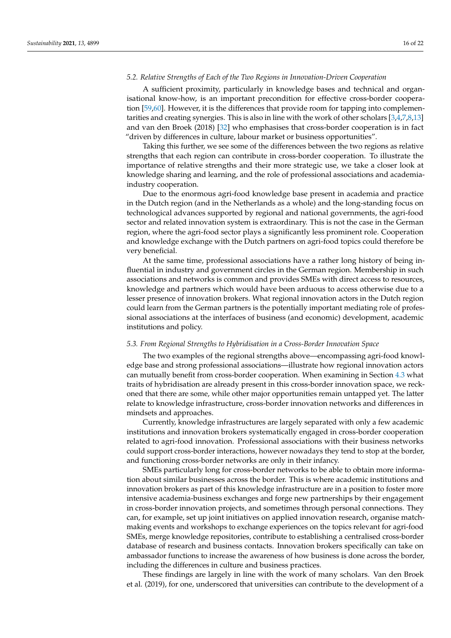## *5.2. Relative Strengths of Each of the Two Regions in Innovation-Driven Cooperation*

A sufficient proximity, particularly in knowledge bases and technical and organisational know-how, is an important precondition for effective cross-border cooperation [\[59](#page-20-11)[,60\]](#page-20-24). However, it is the differences that provide room for tapping into complementarities and creating synergies. This is also in line with the work of other scholars [\[3](#page-18-8)[,4,](#page-18-10)[7,](#page-18-5)[8,](#page-18-6)[13\]](#page-19-1) and van den Broek (2018) [\[32\]](#page-19-21) who emphasises that cross-border cooperation is in fact "driven by differences in culture, labour market or business opportunities".

Taking this further, we see some of the differences between the two regions as relative strengths that each region can contribute in cross-border cooperation. To illustrate the importance of relative strengths and their more strategic use, we take a closer look at knowledge sharing and learning, and the role of professional associations and academiaindustry cooperation.

Due to the enormous agri-food knowledge base present in academia and practice in the Dutch region (and in the Netherlands as a whole) and the long-standing focus on technological advances supported by regional and national governments, the agri-food sector and related innovation system is extraordinary. This is not the case in the German region, where the agri-food sector plays a significantly less prominent role. Cooperation and knowledge exchange with the Dutch partners on agri-food topics could therefore be very beneficial.

At the same time, professional associations have a rather long history of being influential in industry and government circles in the German region. Membership in such associations and networks is common and provides SMEs with direct access to resources, knowledge and partners which would have been arduous to access otherwise due to a lesser presence of innovation brokers. What regional innovation actors in the Dutch region could learn from the German partners is the potentially important mediating role of professional associations at the interfaces of business (and economic) development, academic institutions and policy.

#### *5.3. From Regional Strengths to Hybridisation in a Cross-Border Innovation Space*

The two examples of the regional strengths above—encompassing agri-food knowledge base and strong professional associations—illustrate how regional innovation actors can mutually benefit from cross-border cooperation. When examining in Section [4.3](#page-13-0) what traits of hybridisation are already present in this cross-border innovation space, we reckoned that there are some, while other major opportunities remain untapped yet. The latter relate to knowledge infrastructure, cross-border innovation networks and differences in mindsets and approaches.

Currently, knowledge infrastructures are largely separated with only a few academic institutions and innovation brokers systematically engaged in cross-border cooperation related to agri-food innovation. Professional associations with their business networks could support cross-border interactions, however nowadays they tend to stop at the border, and functioning cross-border networks are only in their infancy.

SMEs particularly long for cross-border networks to be able to obtain more information about similar businesses across the border. This is where academic institutions and innovation brokers as part of this knowledge infrastructure are in a position to foster more intensive academia-business exchanges and forge new partnerships by their engagement in cross-border innovation projects, and sometimes through personal connections. They can, for example, set up joint initiatives on applied innovation research, organise matchmaking events and workshops to exchange experiences on the topics relevant for agri-food SMEs, merge knowledge repositories, contribute to establishing a centralised cross-border database of research and business contacts. Innovation brokers specifically can take on ambassador functions to increase the awareness of how business is done across the border, including the differences in culture and business practices.

These findings are largely in line with the work of many scholars. Van den Broek et al. (2019), for one, underscored that universities can contribute to the development of a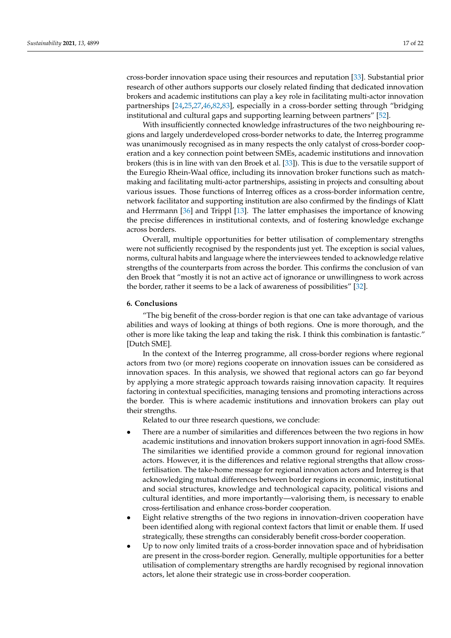cross-border innovation space using their resources and reputation [\[33\]](#page-19-17). Substantial prior research of other authors supports our closely related finding that dedicated innovation brokers and academic institutions can play a key role in facilitating multi-actor innovation partnerships [\[24](#page-19-12)[,25](#page-19-28)[,27](#page-19-27)[,46](#page-20-4)[,82](#page-21-6)[,83\]](#page-21-7), especially in a cross-border setting through "bridging institutional and cultural gaps and supporting learning between partners" [\[52\]](#page-20-5).

With insufficiently connected knowledge infrastructures of the two neighbouring regions and largely underdeveloped cross-border networks to date, the Interreg programme was unanimously recognised as in many respects the only catalyst of cross-border cooperation and a key connection point between SMEs, academic institutions and innovation brokers (this is in line with van den Broek et al. [\[33\]](#page-19-17)). This is due to the versatile support of the Euregio Rhein-Waal office, including its innovation broker functions such as matchmaking and facilitating multi-actor partnerships, assisting in projects and consulting about various issues. Those functions of Interreg offices as a cross-border information centre, network facilitator and supporting institution are also confirmed by the findings of Klatt and Herrmann [\[36\]](#page-19-20) and Trippl [\[13\]](#page-19-1). The latter emphasises the importance of knowing the precise differences in institutional contexts, and of fostering knowledge exchange across borders.

Overall, multiple opportunities for better utilisation of complementary strengths were not sufficiently recognised by the respondents just yet. The exception is social values, norms, cultural habits and language where the interviewees tended to acknowledge relative strengths of the counterparts from across the border. This confirms the conclusion of van den Broek that "mostly it is not an active act of ignorance or unwillingness to work across the border, rather it seems to be a lack of awareness of possibilities" [\[32\]](#page-19-21).

## <span id="page-16-0"></span>**6. Conclusions**

"The big benefit of the cross-border region is that one can take advantage of various abilities and ways of looking at things of both regions. One is more thorough, and the other is more like taking the leap and taking the risk. I think this combination is fantastic." [Dutch SME].

In the context of the Interreg programme, all cross-border regions where regional actors from two (or more) regions cooperate on innovation issues can be considered as innovation spaces. In this analysis, we showed that regional actors can go far beyond by applying a more strategic approach towards raising innovation capacity. It requires factoring in contextual specificities, managing tensions and promoting interactions across the border. This is where academic institutions and innovation brokers can play out their strengths.

Related to our three research questions, we conclude:

- There are a number of similarities and differences between the two regions in how academic institutions and innovation brokers support innovation in agri-food SMEs. The similarities we identified provide a common ground for regional innovation actors. However, it is the differences and relative regional strengths that allow crossfertilisation. The take-home message for regional innovation actors and Interreg is that acknowledging mutual differences between border regions in economic, institutional and social structures, knowledge and technological capacity, political visions and cultural identities, and more importantly—valorising them, is necessary to enable cross-fertilisation and enhance cross-border cooperation.
- Eight relative strengths of the two regions in innovation-driven cooperation have been identified along with regional context factors that limit or enable them. If used strategically, these strengths can considerably benefit cross-border cooperation.
- Up to now only limited traits of a cross-border innovation space and of hybridisation are present in the cross-border region. Generally, multiple opportunities for a better utilisation of complementary strengths are hardly recognised by regional innovation actors, let alone their strategic use in cross-border cooperation.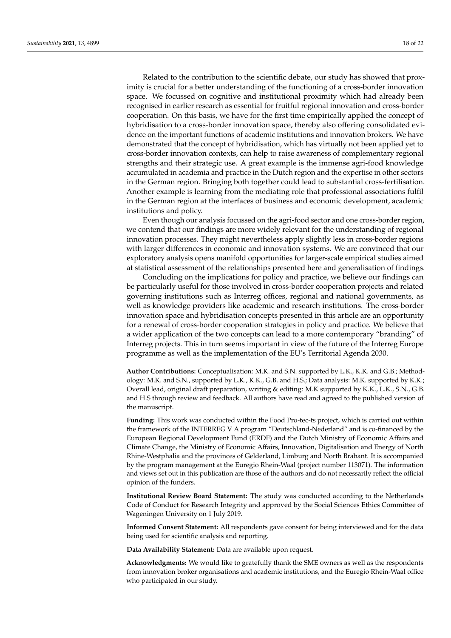Related to the contribution to the scientific debate, our study has showed that proximity is crucial for a better understanding of the functioning of a cross-border innovation space. We focussed on cognitive and institutional proximity which had already been recognised in earlier research as essential for fruitful regional innovation and cross-border cooperation. On this basis, we have for the first time empirically applied the concept of hybridisation to a cross-border innovation space, thereby also offering consolidated evidence on the important functions of academic institutions and innovation brokers. We have demonstrated that the concept of hybridisation, which has virtually not been applied yet to cross-border innovation contexts, can help to raise awareness of complementary regional strengths and their strategic use. A great example is the immense agri-food knowledge accumulated in academia and practice in the Dutch region and the expertise in other sectors in the German region. Bringing both together could lead to substantial cross-fertilisation. Another example is learning from the mediating role that professional associations fulfil in the German region at the interfaces of business and economic development, academic institutions and policy.

Even though our analysis focussed on the agri-food sector and one cross-border region, we contend that our findings are more widely relevant for the understanding of regional innovation processes. They might nevertheless apply slightly less in cross-border regions with larger differences in economic and innovation systems. We are convinced that our exploratory analysis opens manifold opportunities for larger-scale empirical studies aimed at statistical assessment of the relationships presented here and generalisation of findings.

Concluding on the implications for policy and practice, we believe our findings can be particularly useful for those involved in cross-border cooperation projects and related governing institutions such as Interreg offices, regional and national governments, as well as knowledge providers like academic and research institutions. The cross-border innovation space and hybridisation concepts presented in this article are an opportunity for a renewal of cross-border cooperation strategies in policy and practice. We believe that a wider application of the two concepts can lead to a more contemporary "branding" of Interreg projects. This in turn seems important in view of the future of the Interreg Europe programme as well as the implementation of the EU's Territorial Agenda 2030.

**Author Contributions:** Conceptualisation: M.K. and S.N. supported by L.K., K.K. and G.B.; Methodology: M.K. and S.N., supported by L.K., K.K., G.B. and H.S.; Data analysis: M.K. supported by K.K.; Overall lead, original draft preparation, writing & editing: M.K supported by K.K., L.K., S.N., G.B. and H.S through review and feedback. All authors have read and agreed to the published version of the manuscript.

**Funding:** This work was conducted within the Food Pro-tec-ts project, which is carried out within the framework of the INTERREG V A program "Deutschland-Nederland" and is co-financed by the European Regional Development Fund (ERDF) and the Dutch Ministry of Economic Affairs and Climate Change, the Ministry of Economic Affairs, Innovation, Digitalisation and Energy of North Rhine-Westphalia and the provinces of Gelderland, Limburg and North Brabant. It is accompanied by the program management at the Euregio Rhein-Waal (project number 113071). The information and views set out in this publication are those of the authors and do not necessarily reflect the official opinion of the funders.

**Institutional Review Board Statement:** The study was conducted according to the Netherlands Code of Conduct for Research Integrity and approved by the Social Sciences Ethics Committee of Wageningen University on 1 July 2019.

**Informed Consent Statement:** All respondents gave consent for being interviewed and for the data being used for scientific analysis and reporting.

**Data Availability Statement:** Data are available upon request.

**Acknowledgments:** We would like to gratefully thank the SME owners as well as the respondents from innovation broker organisations and academic institutions, and the Euregio Rhein-Waal office who participated in our study.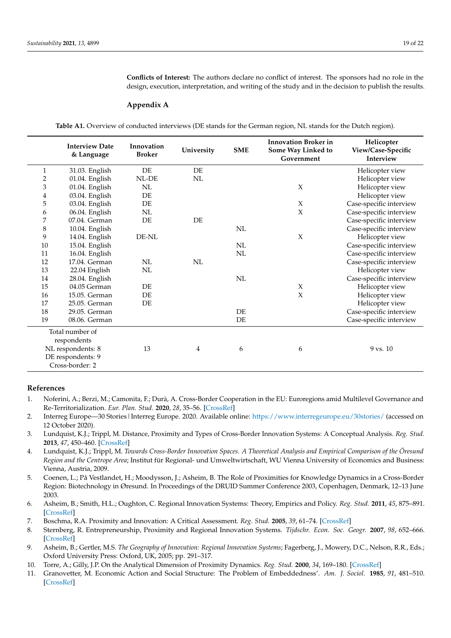**Conflicts of Interest:** The authors declare no conflict of interest. The sponsors had no role in the design, execution, interpretation, and writing of the study and in the decision to publish the results.

### <span id="page-18-12"></span>**Appendix A**

**Table A1.** Overview of conducted interviews (DE stands for the German region, NL stands for the Dutch region).

<span id="page-18-11"></span>

|              | <b>Interview Date</b><br>& Language | Innovation<br><b>Broker</b> | University | <b>SME</b> | <b>Innovation Broker in</b><br>Some Way Linked to<br>Government | Helicopter<br>View/Case-Specific<br>Interview |
|--------------|-------------------------------------|-----------------------------|------------|------------|-----------------------------------------------------------------|-----------------------------------------------|
| $\mathbf{1}$ | 31.03. English                      | DE                          | DE         |            |                                                                 | Helicopter view                               |
| $\mathbf 2$  | 01.04. English                      | NL-DE                       | NL         |            |                                                                 | Helicopter view                               |
| 3            | 01.04. English                      | NL                          |            |            | $\chi$                                                          | Helicopter view                               |
| 4            | 03.04. English                      | DE                          |            |            |                                                                 | Helicopter view                               |
| 5            | 03.04. English                      | DE                          |            |            | $\chi$                                                          | Case-specific interview                       |
| 6            | 06.04. English                      | NL                          |            |            | $\boldsymbol{\chi}$                                             | Case-specific interview                       |
| 7            | 07.04. German                       | DE                          | DE         |            |                                                                 | Case-specific interview                       |
| 8            | 10.04. English                      |                             |            | NL         |                                                                 | Case-specific interview                       |
| 9            | 14.04. English                      | DE-NL                       |            |            | $\chi$                                                          | Helicopter view                               |
| 10           | 15.04. English                      |                             |            | NL         |                                                                 | Case-specific interview                       |
| 11           | 16.04. English                      |                             |            | NL         |                                                                 | Case-specific interview                       |
| 12           | 17.04. German                       | NL                          | NL         |            |                                                                 | Case-specific interview                       |
| 13           | 22.04 English                       | NL                          |            |            |                                                                 | Helicopter view                               |
| 14           | 28.04. English                      |                             |            | NL         |                                                                 | Case-specific interview                       |
| 15           | 04.05 German                        | DE                          |            |            | X                                                               | Helicopter view                               |
| 16           | 15.05. German                       | DE                          |            |            | $\chi$                                                          | Helicopter view                               |
| 17           | 25.05. German                       | DE                          |            |            |                                                                 | Helicopter view                               |
| 18           | 29.05. German                       |                             |            | DE         |                                                                 | Case-specific interview                       |
| 19           | 08.06. German                       |                             |            | DE         |                                                                 | Case-specific interview                       |
|              | Total number of                     |                             |            |            |                                                                 |                                               |
|              | respondents                         |                             |            |            |                                                                 |                                               |
|              | NL respondents: 8                   | 13                          | 4          | 6          | 6                                                               | $9$ vs. $10$                                  |
|              | DE respondents: 9                   |                             |            |            |                                                                 |                                               |
|              | Cross-border: 2                     |                             |            |            |                                                                 |                                               |

#### **References**

- <span id="page-18-0"></span>1. Noferini, A.; Berzi, M.; Camonita, F.; Durà, A. Cross-Border Cooperation in the EU: Euroregions amid Multilevel Governance and Re-Territorialization. *Eur. Plan. Stud.* **2020**, *28*, 35–56. [\[CrossRef\]](http://doi.org/10.1080/09654313.2019.1623973)
- <span id="page-18-1"></span>2. Interreg Europe—30 Stories|Interreg Europe. 2020. Available online: <https://www.interregeurope.eu/30stories/> (accessed on 12 October 2020).
- <span id="page-18-8"></span>3. Lundquist, K.J.; Trippl, M. Distance, Proximity and Types of Cross-Border Innovation Systems: A Conceptual Analysis. *Reg. Stud.* **2013**, *47*, 450–460. [\[CrossRef\]](http://doi.org/10.1080/00343404.2011.560933)
- <span id="page-18-10"></span>4. Lundquist, K.J.; Trippl, M. *Towards Cross-Border Innovation Spaces. A Theoretical Analysis and Empirical Comparison of the Öresund Region and the Centrope Area*; Institut für Regional- und Umweltwirtschaft, WU Vienna University of Economics and Business: Vienna, Austria, 2009.
- <span id="page-18-2"></span>5. Coenen, L.; På Vestlandet, H.; Moodysson, J.; Asheim, B. The Role of Proximities for Knowledge Dynamics in a Cross-Border Region: Biotechnology in Øresund. In Proceedings of the DRUID Summer Conference 2003, Copenhagen, Denmark, 12–13 June 2003.
- <span id="page-18-3"></span>6. Asheim, B.; Smith, H.L.; Oughton, C. Regional Innovation Systems: Theory, Empirics and Policy. *Reg. Stud.* **2011**, *45*, 875–891. [\[CrossRef\]](http://doi.org/10.1080/00343404.2011.596701)
- <span id="page-18-5"></span>7. Boschma, R.A. Proximity and Innovation: A Critical Assessment. *Reg. Stud.* **2005**, *39*, 61–74. [\[CrossRef\]](http://doi.org/10.1080/0034340052000320887)
- <span id="page-18-6"></span>8. Sternberg, R. Entrepreneurship, Proximity and Regional Innovation Systems. *Tijdschr. Econ. Soc. Geogr.* **2007**, *98*, 652–666. [\[CrossRef\]](http://doi.org/10.1111/j.1467-9663.2007.00431.x)
- <span id="page-18-4"></span>9. Asheim, B.; Gertler, M.S. *The Geography of Innovation: Regional Innovation Systems*; Fagerberg, J., Mowery, D.C., Nelson, R.R., Eds.; Oxford University Press: Oxford, UK, 2005; pp. 291–317.
- <span id="page-18-7"></span>10. Torre, A.; Gilly, J.P. On the Analytical Dimension of Proximity Dynamics. *Reg. Stud.* **2000**, *34*, 169–180. [\[CrossRef\]](http://doi.org/10.1080/00343400050006087)
- <span id="page-18-9"></span>11. Granovetter, M. Economic Action and Social Structure: The Problem of Embeddedness'. *Am. J. Sociol.* **1985**, *91*, 481–510. [\[CrossRef\]](http://doi.org/10.1086/228311)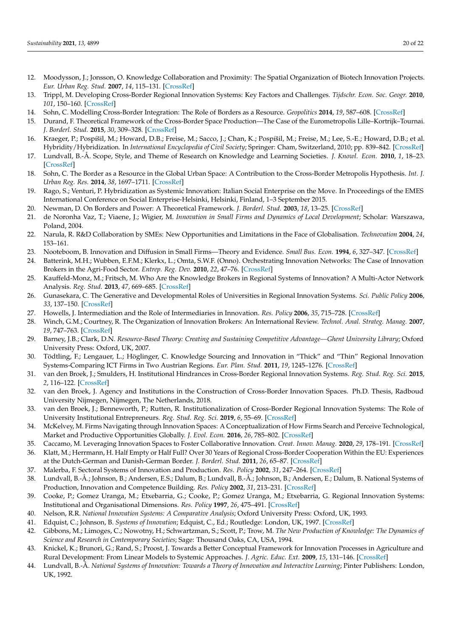- <span id="page-19-0"></span>12. Moodysson, J.; Jonsson, O. Knowledge Collaboration and Proximity: The Spatial Organization of Biotech Innovation Projects. *Eur. Urban Reg. Stud.* **2007**, *14*, 115–131. [\[CrossRef\]](http://doi.org/10.1177/0969776407075556)
- <span id="page-19-1"></span>13. Trippl, M. Developing Cross-Border Regional Innovation Systems: Key Factors and Challenges. *Tijdschr. Econ. Soc. Geogr.* **2010**, *101*, 150–160. [\[CrossRef\]](http://doi.org/10.1111/j.1467-9663.2009.00522.x)
- <span id="page-19-2"></span>14. Sohn, C. Modelling Cross-Border Integration: The Role of Borders as a Resource. *Geopolitics* **2014**, *19*, 587–608. [\[CrossRef\]](http://doi.org/10.1080/14650045.2014.913029)
- <span id="page-19-3"></span>15. Durand, F. Theoretical Framework of the Cross-Border Space Production—The Case of the Eurometropolis Lille–Kortrijk–Tournai. *J. Borderl. Stud.* **2015**, *30*, 309–328. [\[CrossRef\]](http://doi.org/10.1080/08865655.2015.1066701)
- <span id="page-19-4"></span>16. Kraeger, P.; Pospíšil, M.; Howard, D.B.; Freise, M.; Sacco, J.; Chan, K.; Pospíšil, M.; Freise, M.; Lee, S.-E.; Howard, D.B.; et al. Hybridity/Hybridization. In *International Encyclopedia of Civil Society*; Springer: Cham, Switzerland, 2010; pp. 839–842. [\[CrossRef\]](http://doi.org/10.1007/978-0-387-93996-4_34)
- <span id="page-19-5"></span>17. Lundvall, B.-Å. Scope, Style, and Theme of Research on Knowledge and Learning Societies. *J. Knowl. Econ.* **2010**, *1*, 18–23. [\[CrossRef\]](http://doi.org/10.1007/s13132-009-0007-6)
- <span id="page-19-6"></span>18. Sohn, C. The Border as a Resource in the Global Urban Space: A Contribution to the Cross-Border Metropolis Hypothesis. *Int. J. Urban Reg. Res.* **2014**, *38*, 1697–1711. [\[CrossRef\]](http://doi.org/10.1111/1468-2427.12071)
- <span id="page-19-7"></span>19. Rago, S.; Venturi, P. Hybridization as Systemic Innovation: Italian Social Enterprise on the Move. In Proceedings of the EMES International Conference on Social Enterprise-Helsinki, Helsinki, Finland, 1–3 September 2015.
- <span id="page-19-8"></span>20. Newman, D. On Borders and Power: A Theoretical Framework. *J. Borderl. Stud.* **2003**, *18*, 13–25. [\[CrossRef\]](http://doi.org/10.1080/08865655.2003.9695598)
- <span id="page-19-9"></span>21. de Noronha Vaz, T.; Viaene, J.; Wigier, M. *Innovation in Small Firms and Dynamics of Local Development*; Scholar: Warszawa, Poland, 2004.
- <span id="page-19-10"></span>22. Narula, R. R&D Collaboration by SMEs: New Opportunities and Limitations in the Face of Globalisation. *Technovation* **2004**, *24*, 153–161.
- <span id="page-19-11"></span>23. Nooteboom, B. Innovation and Diffusion in Small Firms—Theory and Evidence. *Small Bus. Econ.* **1994**, *6*, 327–347. [\[CrossRef\]](http://doi.org/10.1007/BF01065137)
- <span id="page-19-12"></span>24. Batterink, M.H.; Wubben, E.F.M.; Klerkx, L.; Omta, S.W.F. (Onno). Orchestrating Innovation Networks: The Case of Innovation Brokers in the Agri-Food Sector. *Entrep. Reg. Dev.* **2010**, *22*, 47–76. [\[CrossRef\]](http://doi.org/10.1080/08985620903220512)
- <span id="page-19-28"></span>25. Kauffeld-Monz, M.; Fritsch, M. Who Are the Knowledge Brokers in Regional Systems of Innovation? A Multi-Actor Network Analysis. *Reg. Stud.* **2013**, *47*, 669–685. [\[CrossRef\]](http://doi.org/10.1080/00343401003713365)
- 26. Gunasekara, C. The Generative and Developmental Roles of Universities in Regional Innovation Systems. *Sci. Public Policy* **2006**, *33*, 137–150. [\[CrossRef\]](http://doi.org/10.3152/147154306781779118)
- <span id="page-19-27"></span>27. Howells, J. Intermediation and the Role of Intermediaries in Innovation. *Res. Policy* **2006**, *35*, 715–728. [\[CrossRef\]](http://doi.org/10.1016/j.respol.2006.03.005)
- <span id="page-19-13"></span>28. Winch, G.M.; Courtney, R. The Organization of Innovation Brokers: An International Review. *Technol. Anal. Strateg. Manag.* **2007**, *19*, 747–763. [\[CrossRef\]](http://doi.org/10.1080/09537320701711223)
- <span id="page-19-14"></span>29. Barney, J.B.; Clark, D.N. *Resource-Based Theory: Creating and Sustaining Competitive Advantage—Ghent University Library*; Oxford University Press: Oxford, UK, 2007.
- <span id="page-19-15"></span>30. Tödtling, F.; Lengauer, L.; Höglinger, C. Knowledge Sourcing and Innovation in "Thick" and "Thin" Regional Innovation Systems-Comparing ICT Firms in Two Austrian Regions. *Eur. Plan. Stud.* **2011**, *19*, 1245–1276. [\[CrossRef\]](http://doi.org/10.1080/09654313.2011.573135)
- <span id="page-19-16"></span>31. van den Broek, J.; Smulders, H. Institutional Hindrances in Cross-Border Regional Innovation Systems. *Reg. Stud. Reg. Sci.* **2015**, *2*, 116–122. [\[CrossRef\]](http://doi.org/10.1080/21681376.2015.1007158)
- <span id="page-19-21"></span>32. van den Broek, J. Agency and Institutions in the Construction of Cross-Border Innovation Spaces. Ph.D. Thesis, Radboud University Nijmegen, Nijmegen, The Netherlands, 2018.
- <span id="page-19-17"></span>33. van den Broek, J.; Benneworth, P.; Rutten, R. Institutionalization of Cross-Border Regional Innovation Systems: The Role of University Institutional Entrepreneurs. *Reg. Stud. Reg. Sci.* **2019**, *6*, 55–69. [\[CrossRef\]](http://doi.org/10.1080/21681376.2018.1562367)
- <span id="page-19-18"></span>34. McKelvey, M. Firms Navigating through Innovation Spaces: A Conceptualization of How Firms Search and Perceive Technological, Market and Productive Opportunities Globally. *J. Evol. Econ.* **2016**, *26*, 785–802. [\[CrossRef\]](http://doi.org/10.1007/s00191-016-0478-0)
- <span id="page-19-19"></span>35. Caccamo, M. Leveraging Innovation Spaces to Foster Collaborative Innovation. *Creat. Innov. Manag.* **2020**, *29*, 178–191. [\[CrossRef\]](http://doi.org/10.1111/caim.12357)
- <span id="page-19-20"></span>36. Klatt, M.; Herrmann, H. Half Empty or Half Full? Over 30 Years of Regional Cross-Border Cooperation Within the EU: Experiences at the Dutch-German and Danish-German Border. *J. Borderl. Stud.* **2011**, *26*, 65–87. [\[CrossRef\]](http://doi.org/10.1080/08865655.2011.590289)
- <span id="page-19-22"></span>37. Malerba, F. Sectoral Systems of Innovation and Production. *Res. Policy* **2002**, *31*, 247–264. [\[CrossRef\]](http://doi.org/10.1016/S0048-7333(01)00139-1)
- <span id="page-19-24"></span>38. Lundvall, B.-Å.; Johnson, B.; Andersen, E.S.; Dalum, B.; Lundvall, B.-Å.; Johnson, B.; Andersen, E.; Dalum, B. National Systems of Production, Innovation and Competence Building. *Res. Policy* **2002**, *31*, 213–231. [\[CrossRef\]](http://doi.org/10.1016/S0048-7333(01)00137-8)
- 39. Cooke, P.; Gomez Uranga, M.; Etxebarria, G.; Cooke, P.; Gomez Uranga, M.; Etxebarria, G. Regional Innovation Systems: Institutional and Organisational Dimensions. *Res. Policy* **1997**, *26*, 475–491. [\[CrossRef\]](http://doi.org/10.1016/S0048-7333(97)00025-5)
- 40. Nelson, R.R. *National Innovation Systems: A Comparative Analysis*; Oxford University Press: Oxford, UK, 1993.
- <span id="page-19-23"></span>41. Edquist, C.; Johnson, B. *Systems of Innovation*; Edquist, C., Ed.; Routledge: London, UK, 1997. [\[CrossRef\]](http://doi.org/10.4324/9780203357620)
- <span id="page-19-25"></span>42. Gibbons, M.; Limoges, C.; Nowotny, H.; Schwartzman, S.; Scott, P.; Trow, M. *The New Production of Knowledge: The Dynamics of Science and Research in Contemporary Societies*; Sage: Thousand Oaks, CA, USA, 1994.
- 43. Knickel, K.; Brunori, G.; Rand, S.; Proost, J. Towards a Better Conceptual Framework for Innovation Processes in Agriculture and Rural Development: From Linear Models to Systemic Approaches. *J. Agric. Educ. Ext.* **2009**, *15*, 131–146. [\[CrossRef\]](http://doi.org/10.1080/13892240902909064)
- <span id="page-19-26"></span>44. Lundvall, B.-Å. *National Systems of Innovation: Towards a Theory of Innovation and Interactive Learning*; Pinter Publishers: London, UK, 1992.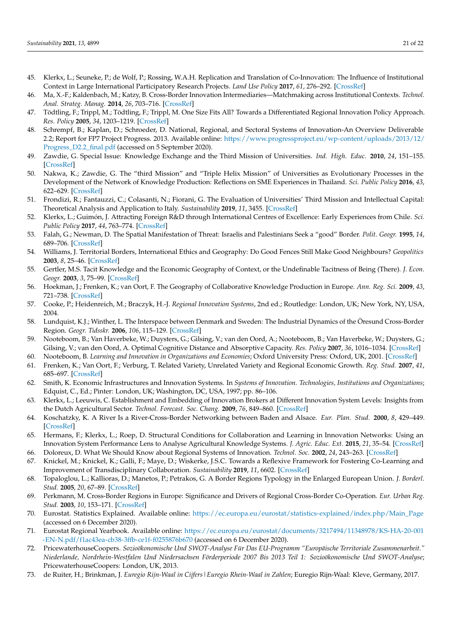- 45. Klerkx, L.; Seuneke, P.; de Wolf, P.; Rossing, W.A.H. Replication and Translation of Co-Innovation: The Influence of Institutional Context in Large International Participatory Research Projects. *Land Use Policy* **2017**, *61*, 276–292. [\[CrossRef\]](http://doi.org/10.1016/j.landusepol.2016.11.027)
- <span id="page-20-4"></span>46. Ma, X.-F.; Kaldenbach, M.; Katzy, B. Cross-Border Innovation Intermediaries—Matchmaking across Institutional Contexts. *Technol. Anal. Strateg. Manag.* **2014**, *26*, 703–716. [\[CrossRef\]](http://doi.org/10.1080/09537325.2014.899346)
- <span id="page-20-0"></span>47. Tödtling, F.; Trippl, M.; Tödtling, F.; Trippl, M. One Size Fits All? Towards a Differentiated Regional Innovation Policy Approach. *Res. Policy* **2005**, *34*, 1203–1219. [\[CrossRef\]](http://doi.org/10.1016/j.respol.2005.01.018)
- <span id="page-20-1"></span>48. Schrempf, B.; Kaplan, D.; Schroeder, D. National, Regional, and Sectoral Systems of Innovation-An Overview Deliverable 2.2; Report for FP7 Project Progress. 2013. Available online: [https://www.progressproject.eu/wp-content/uploads/2013/12/](https://www.progressproject.eu/wp-content/uploads/2013/12/Progress_D2.2_final.pdf) [Progress\\_D2.2\\_final.pdf](https://www.progressproject.eu/wp-content/uploads/2013/12/Progress_D2.2_final.pdf) (accessed on 5 September 2020).
- <span id="page-20-2"></span>49. Zawdie, G. Special Issue: Knowledge Exchange and the Third Mission of Universities. *Ind. High. Educ.* **2010**, *24*, 151–155. [\[CrossRef\]](http://doi.org/10.5367/000000010791657437)
- <span id="page-20-23"></span>50. Nakwa, K.; Zawdie, G. The "third Mission" and "Triple Helix Mission" of Universities as Evolutionary Processes in the Development of the Network of Knowledge Production: Reflections on SME Experiences in Thailand. *Sci. Public Policy* **2016**, *43*, 622–629. [\[CrossRef\]](http://doi.org/10.1093/scipol/scw030)
- <span id="page-20-3"></span>51. Frondizi, R.; Fantauzzi, C.; Colasanti, N.; Fiorani, G. The Evaluation of Universities' Third Mission and Intellectual Capital: Theoretical Analysis and Application to Italy. *Sustainability* **2019**, *11*, 3455. [\[CrossRef\]](http://doi.org/10.3390/su11123455)
- <span id="page-20-5"></span>52. Klerkx, L.; Guimón, J. Attracting Foreign R&D through International Centres of Excellence: Early Experiences from Chile. *Sci. Public Policy* **2017**, *44*, 763–774. [\[CrossRef\]](http://doi.org/10.1093/scipol/scx011)
- <span id="page-20-6"></span>53. Falah, G.; Newman, D. The Spatial Manifestation of Threat: Israelis and Palestinians Seek a "good" Border. *Polit. Geogr.* **1995**, *14*, 689–706. [\[CrossRef\]](http://doi.org/10.1016/0962-6298(95)00003-S)
- <span id="page-20-7"></span>54. Williams, J. Territorial Borders, International Ethics and Geography: Do Good Fences Still Make Good Neighbours? *Geopolitics* **2003**, *8*, 25–46. [\[CrossRef\]](http://doi.org/10.1080/714001033)
- <span id="page-20-8"></span>55. Gertler, M.S. Tacit Knowledge and the Economic Geography of Context, or the Undefinable Tacitness of Being (There). *J. Econ. Geogr.* **2003**, *3*, 75–99. [\[CrossRef\]](http://doi.org/10.1093/jeg/3.1.75)
- <span id="page-20-10"></span>56. Hoekman, J.; Frenken, K.; van Oort, F. The Geography of Collaborative Knowledge Production in Europe. *Ann. Reg. Sci.* **2009**, *43*, 721–738. [\[CrossRef\]](http://doi.org/10.1007/s00168-008-0252-9)
- 57. Cooke, P.; Heidenreich, M.; Braczyk, H.-J. *Regional Innovation Systems*, 2nd ed.; Routledge: London, UK; New York, NY, USA, 2004.
- <span id="page-20-9"></span>58. Lundquist, K.J.; Winther, L. The Interspace between Denmark and Sweden: The Industrial Dynamics of the Öresund Cross-Border Region. *Geogr. Tidsskr.* **2006**, *106*, 115–129. [\[CrossRef\]](http://doi.org/10.1080/00167223.2006.10649549)
- <span id="page-20-11"></span>59. Nooteboom, B.; Van Haverbeke, W.; Duysters, G.; Gilsing, V.; van den Oord, A.; Nooteboom, B.; Van Haverbeke, W.; Duysters, G.; Gilsing, V.; van den Oord, A. Optimal Cognitive Distance and Absorptive Capacity. *Res. Policy* **2007**, *36*, 1016–1034. [\[CrossRef\]](http://doi.org/10.1016/j.respol.2007.04.003)
- <span id="page-20-24"></span>60. Nooteboom, B. *Learning and Innovation in Organizations and Economies*; Oxford University Press: Oxford, UK, 2001. [\[CrossRef\]](http://doi.org/10.1093/acprof:oso/9780199241002.001.0001)
- <span id="page-20-12"></span>61. Frenken, K.; Van Oort, F.; Verburg, T. Related Variety, Unrelated Variety and Regional Economic Growth. *Reg. Stud.* **2007**, *41*, 685–697. [\[CrossRef\]](http://doi.org/10.1080/00343400601120296)
- <span id="page-20-13"></span>62. Smith, K. Economic Infrastructures and Innovation Systems. In *Systems of Innovation. Technologies, Institutions and Organizations*; Edquist, C., Ed.; Pinter: London, UK; Washington, DC, USA, 1997; pp. 86–106.
- <span id="page-20-14"></span>63. Klerkx, L.; Leeuwis, C. Establishment and Embedding of Innovation Brokers at Different Innovation System Levels: Insights from the Dutch Agricultural Sector. *Technol. Forecast. Soc. Chang.* **2009**, *76*, 849–860. [\[CrossRef\]](http://doi.org/10.1016/j.techfore.2008.10.001)
- <span id="page-20-15"></span>64. Koschatzky, K. A River Is a River-Cross-Border Networking between Baden and Alsace. *Eur. Plan. Stud.* **2000**, *8*, 429–449. [\[CrossRef\]](http://doi.org/10.1080/713666422)
- <span id="page-20-16"></span>65. Hermans, F.; Klerkx, L.; Roep, D. Structural Conditions for Collaboration and Learning in Innovation Networks: Using an Innovation System Performance Lens to Analyse Agricultural Knowledge Systems. *J. Agric. Educ. Ext.* **2015**, *21*, 35–54. [\[CrossRef\]](http://doi.org/10.1080/1389224X.2014.991113)
- <span id="page-20-17"></span>66. Doloreux, D. What We Should Know about Regional Systems of Innovation. *Technol. Soc.* **2002**, *24*, 243–263. [\[CrossRef\]](http://doi.org/10.1016/S0160-791X(02)00007-6)
- <span id="page-20-18"></span>67. Knickel, M.; Knickel, K.; Galli, F.; Maye, D.; Wiskerke, J.S.C. Towards a Reflexive Framework for Fostering Co-Learning and Improvement of Transdisciplinary Collaboration. *Sustainability* **2019**, *11*, 6602. [\[CrossRef\]](http://doi.org/10.3390/su11236602)
- <span id="page-20-19"></span>68. Topaloglou, L.; Kallioras, D.; Manetos, P.; Petrakos, G. A Border Regions Typology in the Enlarged European Union. *J. Borderl. Stud.* **2005**, *20*, 67–89. [\[CrossRef\]](http://doi.org/10.1080/08865655.2005.9695644)
- <span id="page-20-20"></span>69. Perkmann, M. Cross-Border Regions in Europe: Significance and Drivers of Regional Cross-Border Co-Operation. *Eur. Urban Reg. Stud.* **2003**, *10*, 153–171. [\[CrossRef\]](http://doi.org/10.1177/0969776403010002004)
- <span id="page-20-21"></span>70. Eurostat. Statistics Explained. Available online: [https://ec.europa.eu/eurostat/statistics-explained/index.php/Main\\_Page](https://ec.europa.eu/eurostat/statistics-explained/index.php/Main_Page) (accessed on 6 December 2020).
- 71. Eurostat Regional Yearbook. Available online: [https://ec.europa.eu/eurostat/documents/3217494/11348978/KS-HA-20-001](https://ec.europa.eu/eurostat/documents/3217494/11348978/KS-HA-20-001-EN-N.pdf/f1ac43ea-cb38-3ffb-ce1f-f0255876b670) [-EN-N.pdf/f1ac43ea-cb38-3ffb-ce1f-f0255876b670](https://ec.europa.eu/eurostat/documents/3217494/11348978/KS-HA-20-001-EN-N.pdf/f1ac43ea-cb38-3ffb-ce1f-f0255876b670) (accessed on 6 December 2020).
- 72. PricewaterhouseCoopers. *Sozioökonomische Und SWOT-Analyse Für Das EU-Programm "Europäische Territoriale Zusammenarbeit." Niederlande, Nordrhein-Westfalen Und Niedersachsen Förderperiode 2007 Bis 2013 Teil 1: Sozioökonomische Und SWOT-Analyse*; PricewaterhouseCoopers: London, UK, 2013.
- <span id="page-20-22"></span>73. de Ruiter, H.; Brinkman, J. *Euregio Rijn-Waal in Cijfers|Euregio Rhein-Waal in Zahlen*; Euregio Rijn-Waal: Kleve, Germany, 2017.